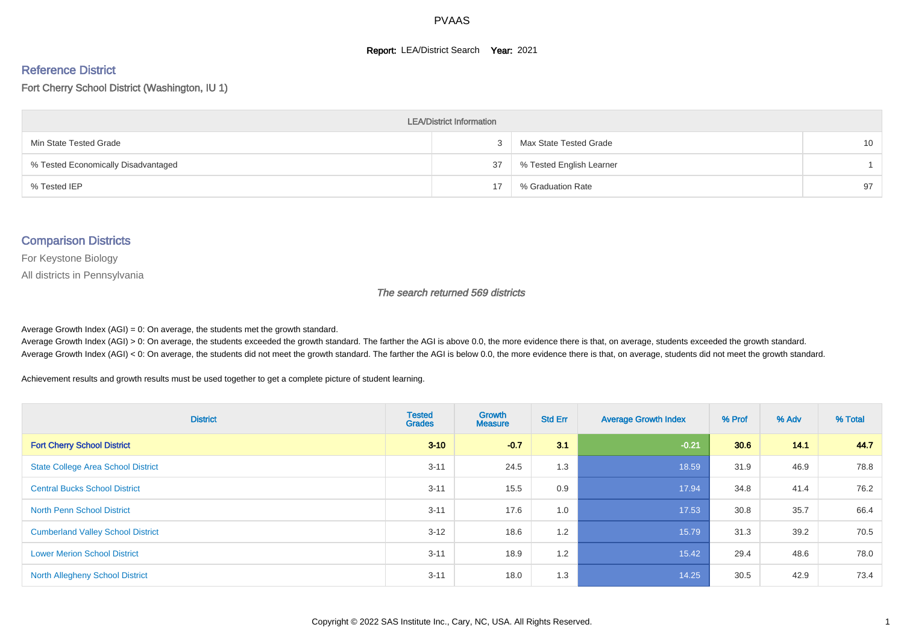#### **Report: LEA/District Search Year: 2021**

# Reference District

Fort Cherry School District (Washington, IU 1)

| <b>LEA/District Information</b>     |    |                          |                 |  |  |  |  |  |  |
|-------------------------------------|----|--------------------------|-----------------|--|--|--|--|--|--|
| Min State Tested Grade              |    | Max State Tested Grade   | 10 <sup>°</sup> |  |  |  |  |  |  |
| % Tested Economically Disadvantaged | 37 | % Tested English Learner |                 |  |  |  |  |  |  |
| % Tested IEP                        | 17 | % Graduation Rate        | 97              |  |  |  |  |  |  |

#### Comparison Districts

For Keystone Biology

All districts in Pennsylvania

The search returned 569 districts

Average Growth Index  $(AGI) = 0$ : On average, the students met the growth standard.

Average Growth Index (AGI) > 0: On average, the students exceeded the growth standard. The farther the AGI is above 0.0, the more evidence there is that, on average, students exceeded the growth standard. Average Growth Index (AGI) < 0: On average, the students did not meet the growth standard. The farther the AGI is below 0.0, the more evidence there is that, on average, students did not meet the growth standard.

Achievement results and growth results must be used together to get a complete picture of student learning.

| <b>District</b>                           | <b>Tested</b><br><b>Grades</b> | <b>Growth</b><br><b>Measure</b> | <b>Std Err</b> | <b>Average Growth Index</b> | % Prof | % Adv | % Total |
|-------------------------------------------|--------------------------------|---------------------------------|----------------|-----------------------------|--------|-------|---------|
| <b>Fort Cherry School District</b>        | $3 - 10$                       | $-0.7$                          | 3.1            | $-0.21$                     | 30.6   | 14.1  | 44.7    |
| <b>State College Area School District</b> | $3 - 11$                       | 24.5                            | 1.3            | 18.59                       | 31.9   | 46.9  | 78.8    |
| <b>Central Bucks School District</b>      | $3 - 11$                       | 15.5                            | 0.9            | 17.94                       | 34.8   | 41.4  | 76.2    |
| <b>North Penn School District</b>         | $3 - 11$                       | 17.6                            | 1.0            | 17.53                       | 30.8   | 35.7  | 66.4    |
| <b>Cumberland Valley School District</b>  | $3 - 12$                       | 18.6                            | 1.2            | 15.79                       | 31.3   | 39.2  | 70.5    |
| <b>Lower Merion School District</b>       | $3 - 11$                       | 18.9                            | 1.2            | 15.42                       | 29.4   | 48.6  | 78.0    |
| <b>North Allegheny School District</b>    | $3 - 11$                       | 18.0                            | 1.3            | 14.25                       | 30.5   | 42.9  | 73.4    |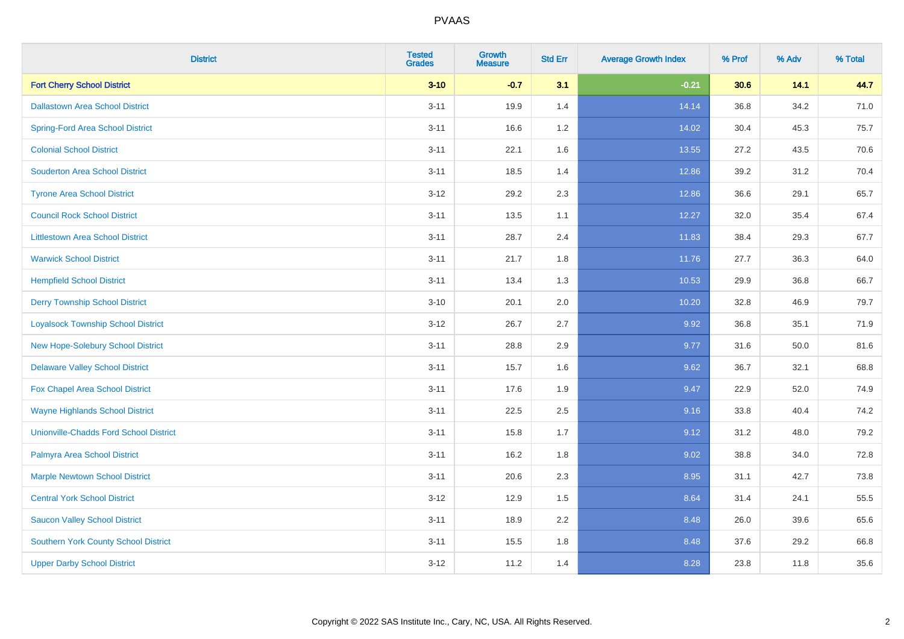| <b>District</b>                               | <b>Tested</b><br><b>Grades</b> | <b>Growth</b><br><b>Measure</b> | <b>Std Err</b> | <b>Average Growth Index</b> | % Prof | % Adv | % Total |
|-----------------------------------------------|--------------------------------|---------------------------------|----------------|-----------------------------|--------|-------|---------|
| <b>Fort Cherry School District</b>            | $3 - 10$                       | $-0.7$                          | 3.1            | $-0.21$                     | 30.6   | 14.1  | 44.7    |
| <b>Dallastown Area School District</b>        | $3 - 11$                       | 19.9                            | 1.4            | 14.14                       | 36.8   | 34.2  | 71.0    |
| <b>Spring-Ford Area School District</b>       | $3 - 11$                       | 16.6                            | 1.2            | 14.02                       | 30.4   | 45.3  | 75.7    |
| <b>Colonial School District</b>               | $3 - 11$                       | 22.1                            | 1.6            | 13.55                       | 27.2   | 43.5  | 70.6    |
| <b>Souderton Area School District</b>         | $3 - 11$                       | 18.5                            | 1.4            | 12.86                       | 39.2   | 31.2  | 70.4    |
| <b>Tyrone Area School District</b>            | $3 - 12$                       | 29.2                            | 2.3            | 12.86                       | 36.6   | 29.1  | 65.7    |
| <b>Council Rock School District</b>           | $3 - 11$                       | 13.5                            | 1.1            | 12.27                       | 32.0   | 35.4  | 67.4    |
| <b>Littlestown Area School District</b>       | $3 - 11$                       | 28.7                            | 2.4            | 11.83                       | 38.4   | 29.3  | 67.7    |
| <b>Warwick School District</b>                | $3 - 11$                       | 21.7                            | 1.8            | 11.76                       | 27.7   | 36.3  | 64.0    |
| <b>Hempfield School District</b>              | $3 - 11$                       | 13.4                            | 1.3            | 10.53                       | 29.9   | 36.8  | 66.7    |
| <b>Derry Township School District</b>         | $3 - 10$                       | 20.1                            | 2.0            | 10.20                       | 32.8   | 46.9  | 79.7    |
| <b>Loyalsock Township School District</b>     | $3 - 12$                       | 26.7                            | 2.7            | 9.92                        | 36.8   | 35.1  | 71.9    |
| New Hope-Solebury School District             | $3 - 11$                       | 28.8                            | 2.9            | 9.77                        | 31.6   | 50.0  | 81.6    |
| <b>Delaware Valley School District</b>        | $3 - 11$                       | 15.7                            | 1.6            | 9.62                        | 36.7   | 32.1  | 68.8    |
| Fox Chapel Area School District               | $3 - 11$                       | 17.6                            | 1.9            | 9.47                        | 22.9   | 52.0  | 74.9    |
| <b>Wayne Highlands School District</b>        | $3 - 11$                       | 22.5                            | 2.5            | 9.16                        | 33.8   | 40.4  | 74.2    |
| <b>Unionville-Chadds Ford School District</b> | $3 - 11$                       | 15.8                            | 1.7            | 9.12                        | 31.2   | 48.0  | 79.2    |
| Palmyra Area School District                  | $3 - 11$                       | 16.2                            | 1.8            | 9.02                        | 38.8   | 34.0  | 72.8    |
| <b>Marple Newtown School District</b>         | $3 - 11$                       | 20.6                            | 2.3            | 8.95                        | 31.1   | 42.7  | 73.8    |
| <b>Central York School District</b>           | $3 - 12$                       | 12.9                            | 1.5            | 8.64                        | 31.4   | 24.1  | 55.5    |
| <b>Saucon Valley School District</b>          | $3 - 11$                       | 18.9                            | 2.2            | 8.48                        | 26.0   | 39.6  | 65.6    |
| <b>Southern York County School District</b>   | $3 - 11$                       | 15.5                            | 1.8            | 8.48                        | 37.6   | 29.2  | 66.8    |
| <b>Upper Darby School District</b>            | $3 - 12$                       | 11.2                            | 1.4            | 8.28                        | 23.8   | 11.8  | 35.6    |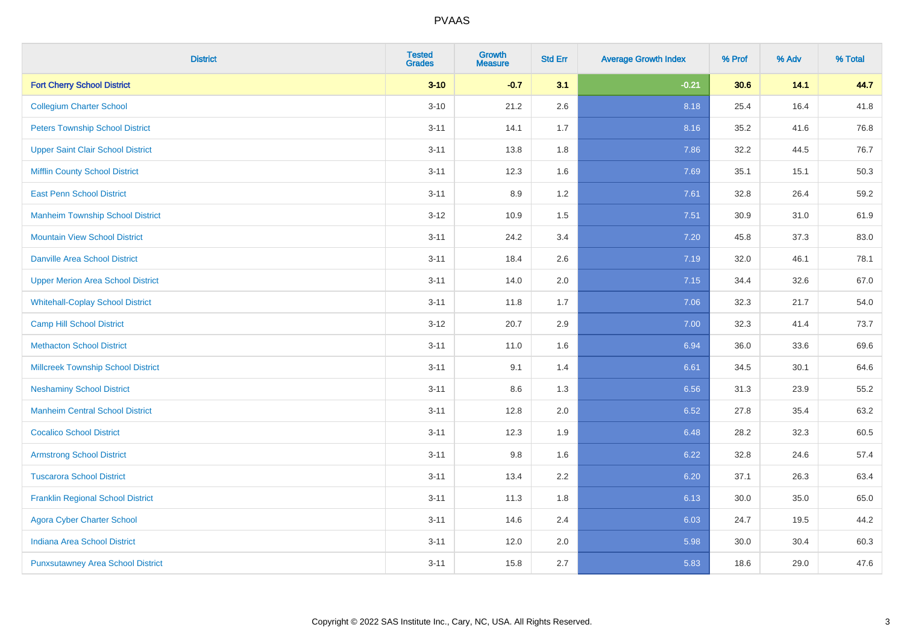| <b>District</b>                           | <b>Tested</b><br><b>Grades</b> | <b>Growth</b><br><b>Measure</b> | <b>Std Err</b> | <b>Average Growth Index</b> | % Prof | % Adv | % Total |
|-------------------------------------------|--------------------------------|---------------------------------|----------------|-----------------------------|--------|-------|---------|
| <b>Fort Cherry School District</b>        | $3 - 10$                       | $-0.7$                          | 3.1            | $-0.21$                     | 30.6   | 14.1  | 44.7    |
| <b>Collegium Charter School</b>           | $3 - 10$                       | 21.2                            | 2.6            | 8.18                        | 25.4   | 16.4  | 41.8    |
| <b>Peters Township School District</b>    | $3 - 11$                       | 14.1                            | 1.7            | 8.16                        | 35.2   | 41.6  | 76.8    |
| <b>Upper Saint Clair School District</b>  | $3 - 11$                       | 13.8                            | 1.8            | 7.86                        | 32.2   | 44.5  | 76.7    |
| <b>Mifflin County School District</b>     | $3 - 11$                       | 12.3                            | 1.6            | 7.69                        | 35.1   | 15.1  | 50.3    |
| <b>East Penn School District</b>          | $3 - 11$                       | 8.9                             | 1.2            | 7.61                        | 32.8   | 26.4  | 59.2    |
| <b>Manheim Township School District</b>   | $3 - 12$                       | 10.9                            | 1.5            | 7.51                        | 30.9   | 31.0  | 61.9    |
| <b>Mountain View School District</b>      | $3 - 11$                       | 24.2                            | 3.4            | 7.20                        | 45.8   | 37.3  | 83.0    |
| <b>Danville Area School District</b>      | $3 - 11$                       | 18.4                            | 2.6            | 7.19                        | 32.0   | 46.1  | 78.1    |
| <b>Upper Merion Area School District</b>  | $3 - 11$                       | 14.0                            | 2.0            | 7.15                        | 34.4   | 32.6  | 67.0    |
| <b>Whitehall-Coplay School District</b>   | $3 - 11$                       | 11.8                            | 1.7            | 7.06                        | 32.3   | 21.7  | 54.0    |
| <b>Camp Hill School District</b>          | $3 - 12$                       | 20.7                            | 2.9            | 7.00                        | 32.3   | 41.4  | 73.7    |
| <b>Methacton School District</b>          | $3 - 11$                       | 11.0                            | 1.6            | 6.94                        | 36.0   | 33.6  | 69.6    |
| <b>Millcreek Township School District</b> | $3 - 11$                       | 9.1                             | 1.4            | 6.61                        | 34.5   | 30.1  | 64.6    |
| <b>Neshaminy School District</b>          | $3 - 11$                       | 8.6                             | 1.3            | 6.56                        | 31.3   | 23.9  | 55.2    |
| <b>Manheim Central School District</b>    | $3 - 11$                       | 12.8                            | 2.0            | 6.52                        | 27.8   | 35.4  | 63.2    |
| <b>Cocalico School District</b>           | $3 - 11$                       | 12.3                            | 1.9            | 6.48                        | 28.2   | 32.3  | 60.5    |
| <b>Armstrong School District</b>          | $3 - 11$                       | 9.8                             | 1.6            | 6.22                        | 32.8   | 24.6  | 57.4    |
| <b>Tuscarora School District</b>          | $3 - 11$                       | 13.4                            | 2.2            | 6.20                        | 37.1   | 26.3  | 63.4    |
| <b>Franklin Regional School District</b>  | $3 - 11$                       | 11.3                            | 1.8            | 6.13                        | 30.0   | 35.0  | 65.0    |
| <b>Agora Cyber Charter School</b>         | $3 - 11$                       | 14.6                            | 2.4            | 6.03                        | 24.7   | 19.5  | 44.2    |
| <b>Indiana Area School District</b>       | $3 - 11$                       | 12.0                            | 2.0            | 5.98                        | 30.0   | 30.4  | 60.3    |
| <b>Punxsutawney Area School District</b>  | $3 - 11$                       | 15.8                            | 2.7            | 5.83                        | 18.6   | 29.0  | 47.6    |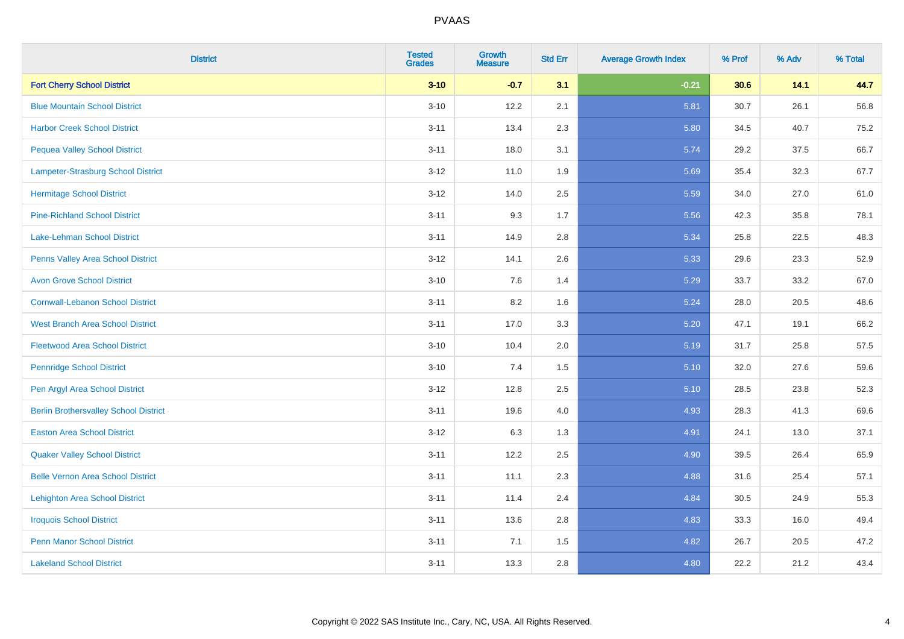| <b>District</b>                              | <b>Tested</b><br><b>Grades</b> | <b>Growth</b><br><b>Measure</b> | <b>Std Err</b> | <b>Average Growth Index</b> | % Prof | % Adv | % Total |
|----------------------------------------------|--------------------------------|---------------------------------|----------------|-----------------------------|--------|-------|---------|
| <b>Fort Cherry School District</b>           | $3 - 10$                       | $-0.7$                          | 3.1            | $-0.21$                     | 30.6   | 14.1  | 44.7    |
| <b>Blue Mountain School District</b>         | $3 - 10$                       | 12.2                            | 2.1            | 5.81                        | 30.7   | 26.1  | 56.8    |
| <b>Harbor Creek School District</b>          | $3 - 11$                       | 13.4                            | 2.3            | 5.80                        | 34.5   | 40.7  | 75.2    |
| <b>Pequea Valley School District</b>         | $3 - 11$                       | 18.0                            | 3.1            | 5.74                        | 29.2   | 37.5  | 66.7    |
| Lampeter-Strasburg School District           | $3 - 12$                       | 11.0                            | 1.9            | 5.69                        | 35.4   | 32.3  | 67.7    |
| <b>Hermitage School District</b>             | $3 - 12$                       | 14.0                            | 2.5            | 5.59                        | 34.0   | 27.0  | 61.0    |
| <b>Pine-Richland School District</b>         | $3 - 11$                       | 9.3                             | 1.7            | 5.56                        | 42.3   | 35.8  | 78.1    |
| Lake-Lehman School District                  | $3 - 11$                       | 14.9                            | 2.8            | 5.34                        | 25.8   | 22.5  | 48.3    |
| Penns Valley Area School District            | $3 - 12$                       | 14.1                            | 2.6            | 5.33                        | 29.6   | 23.3  | 52.9    |
| <b>Avon Grove School District</b>            | $3 - 10$                       | 7.6                             | 1.4            | 5.29                        | 33.7   | 33.2  | 67.0    |
| <b>Cornwall-Lebanon School District</b>      | $3 - 11$                       | 8.2                             | 1.6            | 5.24                        | 28.0   | 20.5  | 48.6    |
| <b>West Branch Area School District</b>      | $3 - 11$                       | 17.0                            | 3.3            | 5.20                        | 47.1   | 19.1  | 66.2    |
| <b>Fleetwood Area School District</b>        | $3 - 10$                       | 10.4                            | 2.0            | 5.19                        | 31.7   | 25.8  | 57.5    |
| <b>Pennridge School District</b>             | $3 - 10$                       | 7.4                             | 1.5            | 5.10                        | 32.0   | 27.6  | 59.6    |
| Pen Argyl Area School District               | $3-12$                         | 12.8                            | 2.5            | 5.10                        | 28.5   | 23.8  | 52.3    |
| <b>Berlin Brothersvalley School District</b> | $3 - 11$                       | 19.6                            | 4.0            | 4.93                        | 28.3   | 41.3  | 69.6    |
| <b>Easton Area School District</b>           | $3 - 12$                       | 6.3                             | 1.3            | 4.91                        | 24.1   | 13.0  | 37.1    |
| <b>Quaker Valley School District</b>         | $3 - 11$                       | 12.2                            | 2.5            | 4.90                        | 39.5   | 26.4  | 65.9    |
| <b>Belle Vernon Area School District</b>     | $3 - 11$                       | 11.1                            | 2.3            | 4.88                        | 31.6   | 25.4  | 57.1    |
| <b>Lehighton Area School District</b>        | $3 - 11$                       | 11.4                            | 2.4            | 4.84                        | 30.5   | 24.9  | 55.3    |
| <b>Iroquois School District</b>              | $3 - 11$                       | 13.6                            | 2.8            | 4.83                        | 33.3   | 16.0  | 49.4    |
| <b>Penn Manor School District</b>            | $3 - 11$                       | 7.1                             | 1.5            | 4.82                        | 26.7   | 20.5  | 47.2    |
| <b>Lakeland School District</b>              | $3 - 11$                       | 13.3                            | 2.8            | 4.80                        | 22.2   | 21.2  | 43.4    |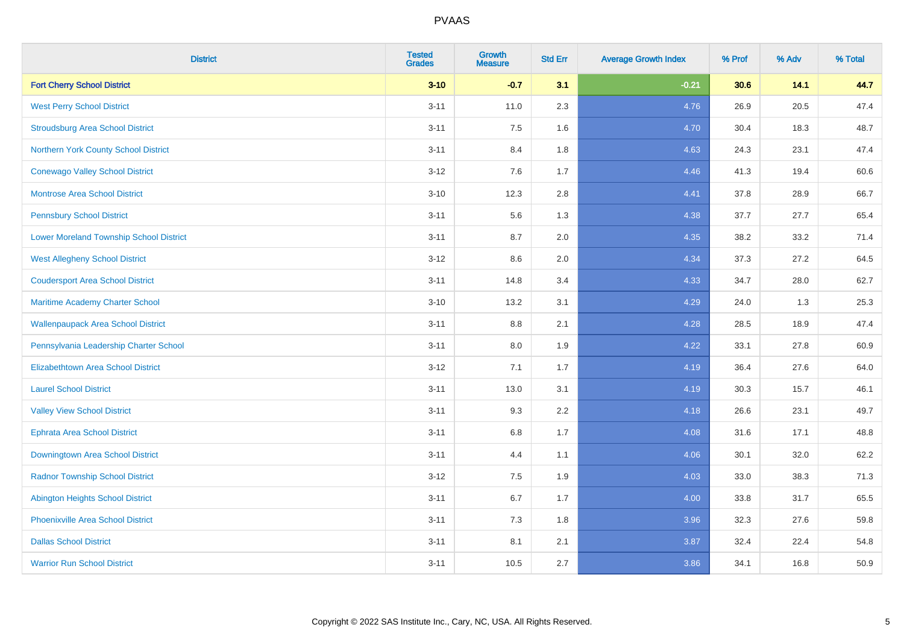| <b>District</b>                                | <b>Tested</b><br><b>Grades</b> | <b>Growth</b><br><b>Measure</b> | <b>Std Err</b> | <b>Average Growth Index</b> | % Prof | % Adv | % Total |
|------------------------------------------------|--------------------------------|---------------------------------|----------------|-----------------------------|--------|-------|---------|
| <b>Fort Cherry School District</b>             | $3 - 10$                       | $-0.7$                          | 3.1            | $-0.21$                     | 30.6   | 14.1  | 44.7    |
| <b>West Perry School District</b>              | $3 - 11$                       | 11.0                            | 2.3            | 4.76                        | 26.9   | 20.5  | 47.4    |
| <b>Stroudsburg Area School District</b>        | $3 - 11$                       | 7.5                             | 1.6            | 4.70                        | 30.4   | 18.3  | 48.7    |
| Northern York County School District           | $3 - 11$                       | 8.4                             | 1.8            | 4.63                        | 24.3   | 23.1  | 47.4    |
| <b>Conewago Valley School District</b>         | $3 - 12$                       | 7.6                             | 1.7            | 4.46                        | 41.3   | 19.4  | 60.6    |
| <b>Montrose Area School District</b>           | $3 - 10$                       | 12.3                            | 2.8            | 4.41                        | 37.8   | 28.9  | 66.7    |
| <b>Pennsbury School District</b>               | $3 - 11$                       | 5.6                             | 1.3            | 4.38                        | 37.7   | 27.7  | 65.4    |
| <b>Lower Moreland Township School District</b> | $3 - 11$                       | 8.7                             | 2.0            | 4.35                        | 38.2   | 33.2  | 71.4    |
| <b>West Allegheny School District</b>          | $3 - 12$                       | 8.6                             | 2.0            | 4.34                        | 37.3   | 27.2  | 64.5    |
| <b>Coudersport Area School District</b>        | $3 - 11$                       | 14.8                            | 3.4            | 4.33                        | 34.7   | 28.0  | 62.7    |
| Maritime Academy Charter School                | $3 - 10$                       | 13.2                            | 3.1            | 4.29                        | 24.0   | 1.3   | 25.3    |
| <b>Wallenpaupack Area School District</b>      | $3 - 11$                       | 8.8                             | 2.1            | 4.28                        | 28.5   | 18.9  | 47.4    |
| Pennsylvania Leadership Charter School         | $3 - 11$                       | 8.0                             | 1.9            | 4.22                        | 33.1   | 27.8  | 60.9    |
| <b>Elizabethtown Area School District</b>      | $3 - 12$                       | 7.1                             | 1.7            | 4.19                        | 36.4   | 27.6  | 64.0    |
| <b>Laurel School District</b>                  | $3 - 11$                       | 13.0                            | 3.1            | 4.19                        | 30.3   | 15.7  | 46.1    |
| <b>Valley View School District</b>             | $3 - 11$                       | 9.3                             | 2.2            | 4.18                        | 26.6   | 23.1  | 49.7    |
| <b>Ephrata Area School District</b>            | $3 - 11$                       | $6.8\,$                         | 1.7            | 4.08                        | 31.6   | 17.1  | 48.8    |
| Downingtown Area School District               | $3 - 11$                       | 4.4                             | 1.1            | 4.06                        | 30.1   | 32.0  | 62.2    |
| <b>Radnor Township School District</b>         | $3 - 12$                       | 7.5                             | 1.9            | 4.03                        | 33.0   | 38.3  | 71.3    |
| <b>Abington Heights School District</b>        | $3 - 11$                       | $6.7\,$                         | 1.7            | 4.00                        | 33.8   | 31.7  | 65.5    |
| Phoenixville Area School District              | $3 - 11$                       | 7.3                             | 1.8            | 3.96                        | 32.3   | 27.6  | 59.8    |
| <b>Dallas School District</b>                  | $3 - 11$                       | 8.1                             | 2.1            | 3.87                        | 32.4   | 22.4  | 54.8    |
| <b>Warrior Run School District</b>             | $3 - 11$                       | 10.5                            | 2.7            | 3.86                        | 34.1   | 16.8  | 50.9    |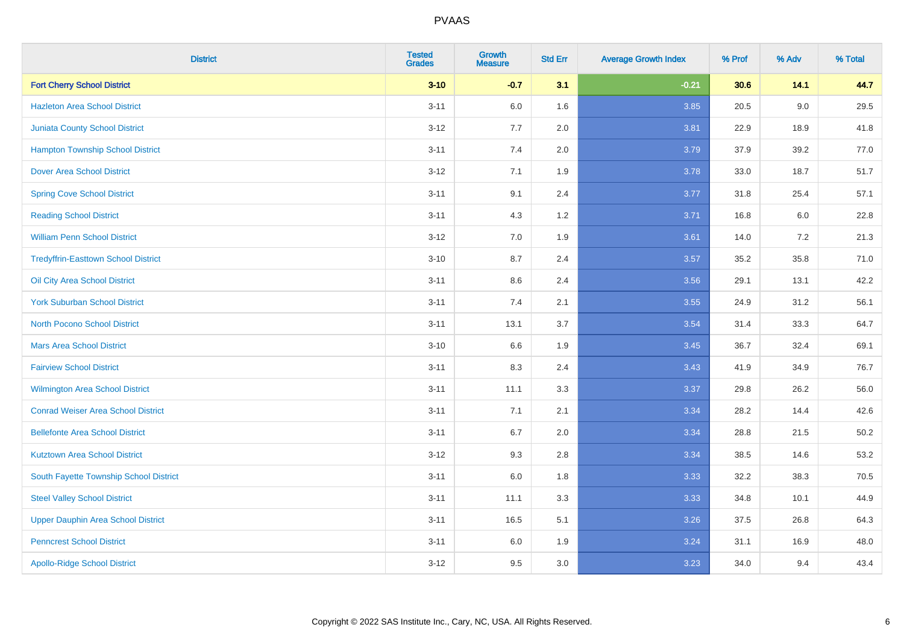| <b>District</b>                            | <b>Tested</b><br><b>Grades</b> | <b>Growth</b><br><b>Measure</b> | <b>Std Err</b> | <b>Average Growth Index</b> | % Prof | % Adv   | % Total  |
|--------------------------------------------|--------------------------------|---------------------------------|----------------|-----------------------------|--------|---------|----------|
| <b>Fort Cherry School District</b>         | $3 - 10$                       | $-0.7$                          | 3.1            | $-0.21$                     | 30.6   | 14.1    | 44.7     |
| <b>Hazleton Area School District</b>       | $3 - 11$                       | 6.0                             | 1.6            | 3.85                        | 20.5   | $9.0\,$ | 29.5     |
| <b>Juniata County School District</b>      | $3 - 12$                       | 7.7                             | 2.0            | 3.81                        | 22.9   | 18.9    | 41.8     |
| <b>Hampton Township School District</b>    | $3 - 11$                       | 7.4                             | 2.0            | 3.79                        | 37.9   | 39.2    | 77.0     |
| <b>Dover Area School District</b>          | $3 - 12$                       | 7.1                             | 1.9            | 3.78                        | 33.0   | 18.7    | 51.7     |
| <b>Spring Cove School District</b>         | $3 - 11$                       | 9.1                             | 2.4            | 3.77                        | 31.8   | 25.4    | 57.1     |
| <b>Reading School District</b>             | $3 - 11$                       | 4.3                             | $1.2$          | 3.71                        | 16.8   | 6.0     | 22.8     |
| <b>William Penn School District</b>        | $3 - 12$                       | 7.0                             | 1.9            | 3.61                        | 14.0   | 7.2     | 21.3     |
| <b>Tredyffrin-Easttown School District</b> | $3 - 10$                       | 8.7                             | 2.4            | 3.57                        | 35.2   | 35.8    | 71.0     |
| Oil City Area School District              | $3 - 11$                       | 8.6                             | 2.4            | 3.56                        | 29.1   | 13.1    | 42.2     |
| <b>York Suburban School District</b>       | $3 - 11$                       | 7.4                             | 2.1            | 3.55                        | 24.9   | 31.2    | 56.1     |
| <b>North Pocono School District</b>        | $3 - 11$                       | 13.1                            | 3.7            | 3.54                        | 31.4   | 33.3    | 64.7     |
| <b>Mars Area School District</b>           | $3 - 10$                       | 6.6                             | 1.9            | 3.45                        | 36.7   | 32.4    | 69.1     |
| <b>Fairview School District</b>            | $3 - 11$                       | 8.3                             | 2.4            | 3.43                        | 41.9   | 34.9    | 76.7     |
| Wilmington Area School District            | $3 - 11$                       | 11.1                            | 3.3            | 3.37                        | 29.8   | 26.2    | 56.0     |
| <b>Conrad Weiser Area School District</b>  | $3 - 11$                       | 7.1                             | 2.1            | 3.34                        | 28.2   | 14.4    | 42.6     |
| <b>Bellefonte Area School District</b>     | $3 - 11$                       | 6.7                             | 2.0            | 3.34                        | 28.8   | 21.5    | $50.2\,$ |
| <b>Kutztown Area School District</b>       | $3 - 12$                       | 9.3                             | 2.8            | 3.34                        | 38.5   | 14.6    | 53.2     |
| South Fayette Township School District     | $3 - 11$                       | $6.0\,$                         | 1.8            | 3.33                        | 32.2   | 38.3    | 70.5     |
| <b>Steel Valley School District</b>        | $3 - 11$                       | 11.1                            | 3.3            | 3.33                        | 34.8   | 10.1    | 44.9     |
| <b>Upper Dauphin Area School District</b>  | $3 - 11$                       | 16.5                            | 5.1            | 3.26                        | 37.5   | 26.8    | 64.3     |
| <b>Penncrest School District</b>           | $3 - 11$                       | 6.0                             | 1.9            | 3.24                        | 31.1   | 16.9    | 48.0     |
| <b>Apollo-Ridge School District</b>        | $3-12$                         | 9.5                             | 3.0            | 3.23                        | 34.0   | 9.4     | 43.4     |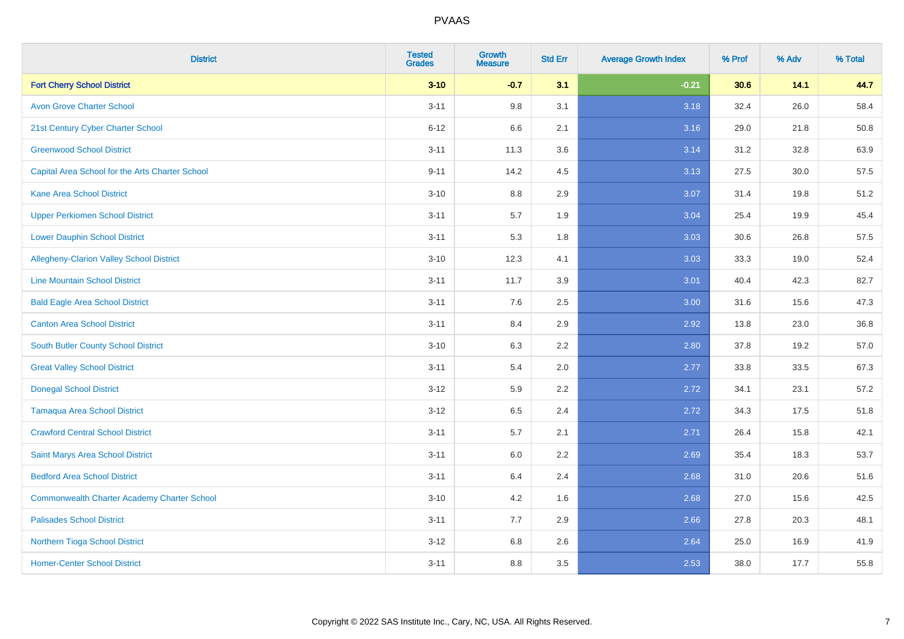| <b>District</b>                                    | <b>Tested</b><br><b>Grades</b> | <b>Growth</b><br><b>Measure</b> | <b>Std Err</b> | <b>Average Growth Index</b> | % Prof | % Adv | % Total |
|----------------------------------------------------|--------------------------------|---------------------------------|----------------|-----------------------------|--------|-------|---------|
| <b>Fort Cherry School District</b>                 | $3 - 10$                       | $-0.7$                          | 3.1            | $-0.21$                     | 30.6   | 14.1  | 44.7    |
| <b>Avon Grove Charter School</b>                   | $3 - 11$                       | 9.8                             | 3.1            | 3.18                        | 32.4   | 26.0  | 58.4    |
| 21st Century Cyber Charter School                  | $6 - 12$                       | 6.6                             | 2.1            | 3.16                        | 29.0   | 21.8  | 50.8    |
| <b>Greenwood School District</b>                   | $3 - 11$                       | 11.3                            | 3.6            | 3.14                        | 31.2   | 32.8  | 63.9    |
| Capital Area School for the Arts Charter School    | $9 - 11$                       | 14.2                            | 4.5            | 3.13                        | 27.5   | 30.0  | 57.5    |
| <b>Kane Area School District</b>                   | $3 - 10$                       | 8.8                             | 2.9            | 3.07                        | 31.4   | 19.8  | 51.2    |
| <b>Upper Perkiomen School District</b>             | $3 - 11$                       | 5.7                             | 1.9            | 3.04                        | 25.4   | 19.9  | 45.4    |
| <b>Lower Dauphin School District</b>               | $3 - 11$                       | 5.3                             | 1.8            | 3.03                        | 30.6   | 26.8  | 57.5    |
| Allegheny-Clarion Valley School District           | $3 - 10$                       | 12.3                            | 4.1            | 3.03                        | 33.3   | 19.0  | 52.4    |
| <b>Line Mountain School District</b>               | $3 - 11$                       | 11.7                            | 3.9            | 3.01                        | 40.4   | 42.3  | 82.7    |
| <b>Bald Eagle Area School District</b>             | $3 - 11$                       | 7.6                             | 2.5            | 3.00                        | 31.6   | 15.6  | 47.3    |
| <b>Canton Area School District</b>                 | $3 - 11$                       | 8.4                             | 2.9            | 2.92                        | 13.8   | 23.0  | 36.8    |
| South Butler County School District                | $3 - 10$                       | 6.3                             | 2.2            | 2.80                        | 37.8   | 19.2  | 57.0    |
| <b>Great Valley School District</b>                | $3 - 11$                       | 5.4                             | 2.0            | 2.77                        | 33.8   | 33.5  | 67.3    |
| <b>Donegal School District</b>                     | $3 - 12$                       | 5.9                             | 2.2            | 2.72                        | 34.1   | 23.1  | 57.2    |
| <b>Tamaqua Area School District</b>                | $3 - 12$                       | 6.5                             | 2.4            | 2.72                        | 34.3   | 17.5  | 51.8    |
| <b>Crawford Central School District</b>            | $3 - 11$                       | 5.7                             | 2.1            | 2.71                        | 26.4   | 15.8  | 42.1    |
| Saint Marys Area School District                   | $3 - 11$                       | 6.0                             | 2.2            | 2.69                        | 35.4   | 18.3  | 53.7    |
| <b>Bedford Area School District</b>                | $3 - 11$                       | 6.4                             | 2.4            | 2.68                        | 31.0   | 20.6  | 51.6    |
| <b>Commonwealth Charter Academy Charter School</b> | $3 - 10$                       | 4.2                             | 1.6            | 2.68                        | 27.0   | 15.6  | 42.5    |
| <b>Palisades School District</b>                   | $3 - 11$                       | 7.7                             | 2.9            | 2.66                        | 27.8   | 20.3  | 48.1    |
| Northern Tioga School District                     | $3 - 12$                       | 6.8                             | 2.6            | 2.64                        | 25.0   | 16.9  | 41.9    |
| <b>Homer-Center School District</b>                | $3 - 11$                       | 8.8                             | 3.5            | 2.53                        | 38.0   | 17.7  | 55.8    |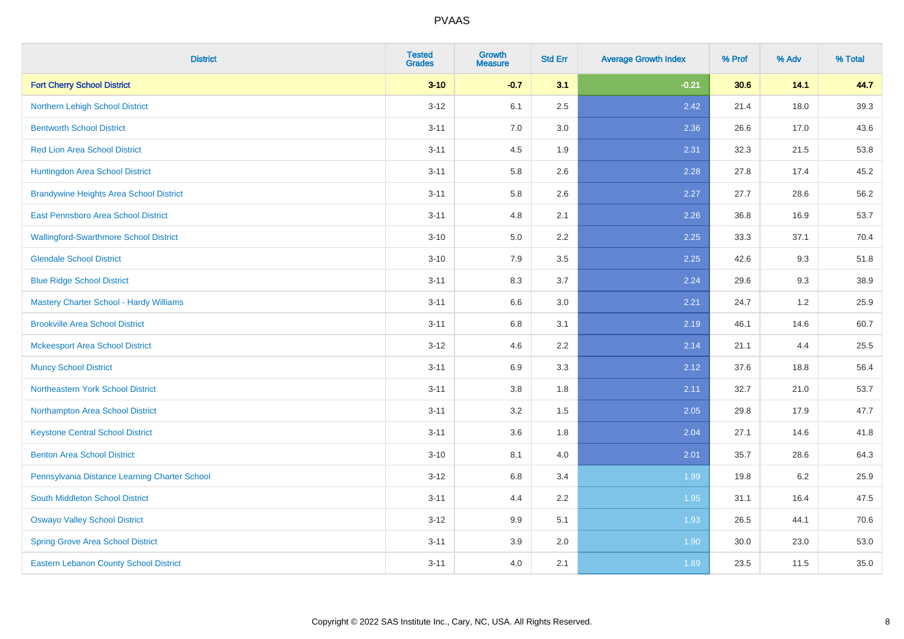| <b>District</b>                                | <b>Tested</b><br><b>Grades</b> | <b>Growth</b><br><b>Measure</b> | <b>Std Err</b> | <b>Average Growth Index</b> | % Prof | % Adv | % Total |
|------------------------------------------------|--------------------------------|---------------------------------|----------------|-----------------------------|--------|-------|---------|
| <b>Fort Cherry School District</b>             | $3 - 10$                       | $-0.7$                          | 3.1            | $-0.21$                     | 30.6   | 14.1  | 44.7    |
| Northern Lehigh School District                | $3 - 12$                       | 6.1                             | 2.5            | 2.42                        | 21.4   | 18.0  | 39.3    |
| <b>Bentworth School District</b>               | $3 - 11$                       | 7.0                             | 3.0            | 2.36                        | 26.6   | 17.0  | 43.6    |
| <b>Red Lion Area School District</b>           | $3 - 11$                       | 4.5                             | 1.9            | 2.31                        | 32.3   | 21.5  | 53.8    |
| Huntingdon Area School District                | $3 - 11$                       | 5.8                             | 2.6            | 2.28                        | 27.8   | 17.4  | 45.2    |
| <b>Brandywine Heights Area School District</b> | $3 - 11$                       | 5.8                             | 2.6            | 2.27                        | 27.7   | 28.6  | 56.2    |
| East Pennsboro Area School District            | $3 - 11$                       | 4.8                             | 2.1            | 2.26                        | 36.8   | 16.9  | 53.7    |
| <b>Wallingford-Swarthmore School District</b>  | $3 - 10$                       | 5.0                             | 2.2            | 2.25                        | 33.3   | 37.1  | 70.4    |
| <b>Glendale School District</b>                | $3 - 10$                       | 7.9                             | 3.5            | 2.25                        | 42.6   | 9.3   | 51.8    |
| <b>Blue Ridge School District</b>              | $3 - 11$                       | 8.3                             | 3.7            | 2.24                        | 29.6   | 9.3   | 38.9    |
| <b>Mastery Charter School - Hardy Williams</b> | $3 - 11$                       | 6.6                             | 3.0            | 2.21                        | 24.7   | 1.2   | 25.9    |
| <b>Brookville Area School District</b>         | $3 - 11$                       | $6.8\,$                         | 3.1            | 2.19                        | 46.1   | 14.6  | 60.7    |
| <b>Mckeesport Area School District</b>         | $3 - 12$                       | 4.6                             | 2.2            | 2.14                        | 21.1   | 4.4   | 25.5    |
| <b>Muncy School District</b>                   | $3 - 11$                       | 6.9                             | 3.3            | 2.12                        | 37.6   | 18.8  | 56.4    |
| Northeastern York School District              | $3 - 11$                       | $3.8\,$                         | 1.8            | 2.11                        | 32.7   | 21.0  | 53.7    |
| Northampton Area School District               | $3 - 11$                       | 3.2                             | 1.5            | 2.05                        | 29.8   | 17.9  | 47.7    |
| <b>Keystone Central School District</b>        | $3 - 11$                       | 3.6                             | 1.8            | 2.04                        | 27.1   | 14.6  | 41.8    |
| <b>Benton Area School District</b>             | $3 - 10$                       | 8.1                             | 4.0            | 2.01                        | 35.7   | 28.6  | 64.3    |
| Pennsylvania Distance Learning Charter School  | $3 - 12$                       | 6.8                             | 3.4            | 1.99                        | 19.8   | 6.2   | 25.9    |
| <b>South Middleton School District</b>         | $3 - 11$                       | 4.4                             | 2.2            | 1.95                        | 31.1   | 16.4  | 47.5    |
| <b>Oswayo Valley School District</b>           | $3-12$                         | 9.9                             | 5.1            | 1.93                        | 26.5   | 44.1  | 70.6    |
| <b>Spring Grove Area School District</b>       | $3 - 11$                       | 3.9                             | 2.0            | 1.90                        | 30.0   | 23.0  | 53.0    |
| Eastern Lebanon County School District         | $3 - 11$                       | 4.0                             | 2.1            | 1.89                        | 23.5   | 11.5  | 35.0    |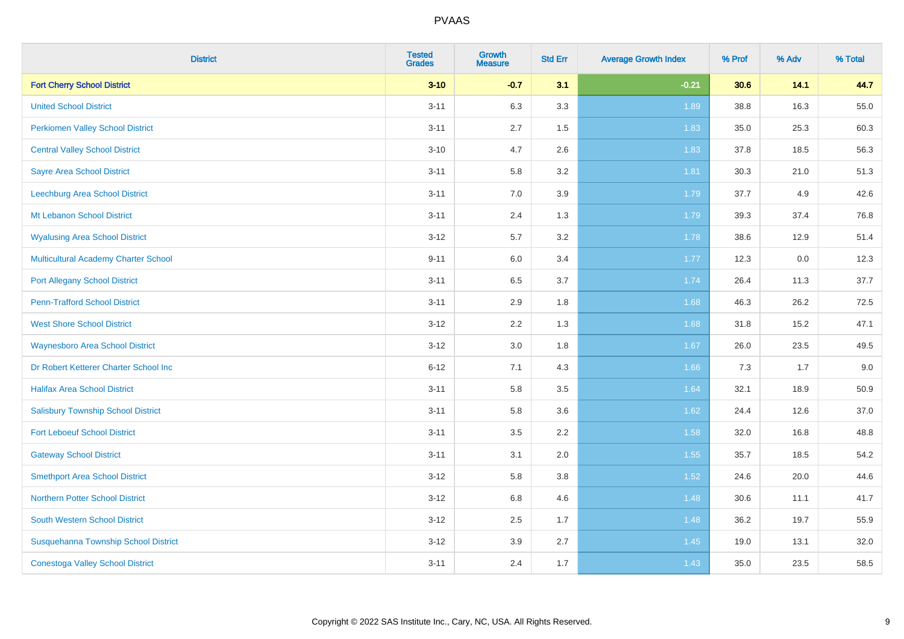| <b>District</b>                             | <b>Tested</b><br><b>Grades</b> | <b>Growth</b><br><b>Measure</b> | <b>Std Err</b> | <b>Average Growth Index</b> | % Prof | % Adv | % Total |
|---------------------------------------------|--------------------------------|---------------------------------|----------------|-----------------------------|--------|-------|---------|
| <b>Fort Cherry School District</b>          | $3 - 10$                       | $-0.7$                          | 3.1            | $-0.21$                     | 30.6   | 14.1  | 44.7    |
| <b>United School District</b>               | $3 - 11$                       | 6.3                             | 3.3            | 1.89                        | 38.8   | 16.3  | 55.0    |
| <b>Perkiomen Valley School District</b>     | $3 - 11$                       | 2.7                             | 1.5            | 1.83                        | 35.0   | 25.3  | 60.3    |
| <b>Central Valley School District</b>       | $3 - 10$                       | 4.7                             | 2.6            | 1.83                        | 37.8   | 18.5  | 56.3    |
| <b>Sayre Area School District</b>           | $3 - 11$                       | 5.8                             | 3.2            | 1.81                        | 30.3   | 21.0  | 51.3    |
| Leechburg Area School District              | $3 - 11$                       | 7.0                             | 3.9            | 1.79                        | 37.7   | 4.9   | 42.6    |
| Mt Lebanon School District                  | $3 - 11$                       | 2.4                             | 1.3            | 1.79                        | 39.3   | 37.4  | 76.8    |
| <b>Wyalusing Area School District</b>       | $3 - 12$                       | 5.7                             | 3.2            | 1.78                        | 38.6   | 12.9  | 51.4    |
| <b>Multicultural Academy Charter School</b> | $9 - 11$                       | 6.0                             | 3.4            | 1.77                        | 12.3   | 0.0   | 12.3    |
| <b>Port Allegany School District</b>        | $3 - 11$                       | 6.5                             | 3.7            | 1.74                        | 26.4   | 11.3  | 37.7    |
| <b>Penn-Trafford School District</b>        | $3 - 11$                       | 2.9                             | 1.8            | 1.68                        | 46.3   | 26.2  | 72.5    |
| <b>West Shore School District</b>           | $3 - 12$                       | 2.2                             | 1.3            | 1.68                        | 31.8   | 15.2  | 47.1    |
| <b>Waynesboro Area School District</b>      | $3 - 12$                       | 3.0                             | 1.8            | 1.67                        | 26.0   | 23.5  | 49.5    |
| Dr Robert Ketterer Charter School Inc       | $6 - 12$                       | 7.1                             | 4.3            | 1.66                        | 7.3    | 1.7   | 9.0     |
| <b>Halifax Area School District</b>         | $3 - 11$                       | 5.8                             | $3.5\,$        | 1.64                        | 32.1   | 18.9  | 50.9    |
| <b>Salisbury Township School District</b>   | $3 - 11$                       | 5.8                             | 3.6            | 1.62                        | 24.4   | 12.6  | 37.0    |
| <b>Fort Leboeuf School District</b>         | $3 - 11$                       | 3.5                             | 2.2            | 1.58                        | 32.0   | 16.8  | 48.8    |
| <b>Gateway School District</b>              | $3 - 11$                       | 3.1                             | 2.0            | 1.55                        | 35.7   | 18.5  | 54.2    |
| <b>Smethport Area School District</b>       | $3 - 12$                       | 5.8                             | 3.8            | $1.52$                      | 24.6   | 20.0  | 44.6    |
| <b>Northern Potter School District</b>      | $3 - 12$                       | 6.8                             | 4.6            | 1.48                        | 30.6   | 11.1  | 41.7    |
| South Western School District               | $3-12$                         | 2.5                             | 1.7            | 1.48                        | 36.2   | 19.7  | 55.9    |
| Susquehanna Township School District        | $3 - 12$                       | 3.9                             | 2.7            | 1.45                        | 19.0   | 13.1  | 32.0    |
| <b>Conestoga Valley School District</b>     | $3 - 11$                       | 2.4                             | 1.7            | 1.43                        | 35.0   | 23.5  | 58.5    |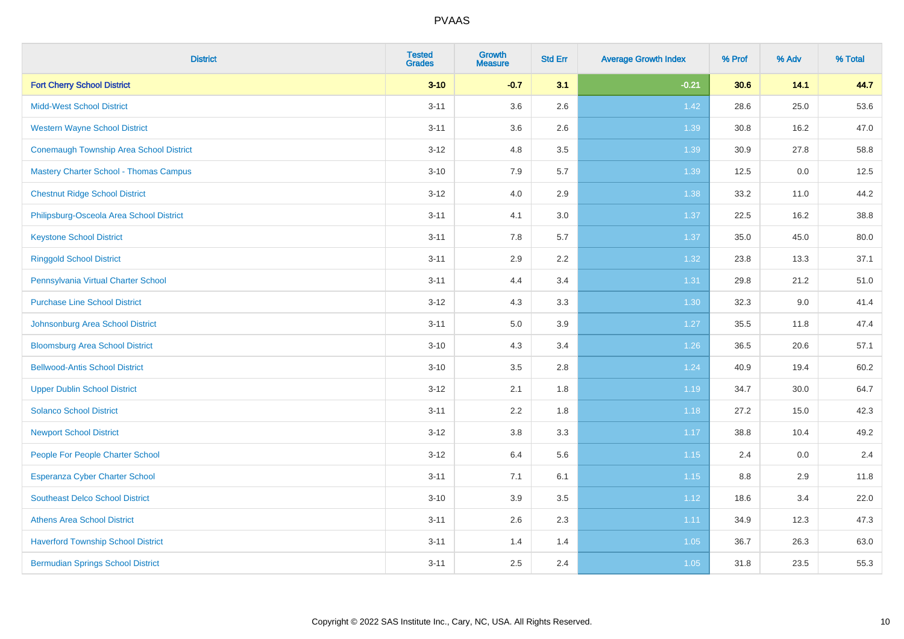| <b>District</b>                                | <b>Tested</b><br><b>Grades</b> | <b>Growth</b><br><b>Measure</b> | <b>Std Err</b> | <b>Average Growth Index</b> | % Prof | % Adv | % Total |
|------------------------------------------------|--------------------------------|---------------------------------|----------------|-----------------------------|--------|-------|---------|
| <b>Fort Cherry School District</b>             | $3 - 10$                       | $-0.7$                          | 3.1            | $-0.21$                     | 30.6   | 14.1  | 44.7    |
| <b>Midd-West School District</b>               | $3 - 11$                       | 3.6                             | 2.6            | 1.42                        | 28.6   | 25.0  | 53.6    |
| <b>Western Wayne School District</b>           | $3 - 11$                       | 3.6                             | 2.6            | 1.39                        | 30.8   | 16.2  | 47.0    |
| <b>Conemaugh Township Area School District</b> | $3 - 12$                       | 4.8                             | 3.5            | 1.39                        | 30.9   | 27.8  | 58.8    |
| <b>Mastery Charter School - Thomas Campus</b>  | $3 - 10$                       | 7.9                             | 5.7            | 1.39                        | 12.5   | 0.0   | 12.5    |
| <b>Chestnut Ridge School District</b>          | $3 - 12$                       | 4.0                             | 2.9            | 1.38                        | 33.2   | 11.0  | 44.2    |
| Philipsburg-Osceola Area School District       | $3 - 11$                       | 4.1                             | 3.0            | 1.37                        | 22.5   | 16.2  | 38.8    |
| <b>Keystone School District</b>                | $3 - 11$                       | 7.8                             | 5.7            | 1.37                        | 35.0   | 45.0  | 80.0    |
| <b>Ringgold School District</b>                | $3 - 11$                       | 2.9                             | 2.2            | 1.32                        | 23.8   | 13.3  | 37.1    |
| Pennsylvania Virtual Charter School            | $3 - 11$                       | 4.4                             | 3.4            | 1.31                        | 29.8   | 21.2  | 51.0    |
| <b>Purchase Line School District</b>           | $3 - 12$                       | 4.3                             | 3.3            | 1.30                        | 32.3   | 9.0   | 41.4    |
| Johnsonburg Area School District               | $3 - 11$                       | 5.0                             | 3.9            | 1.27                        | 35.5   | 11.8  | 47.4    |
| <b>Bloomsburg Area School District</b>         | $3 - 10$                       | 4.3                             | 3.4            | $1.26$                      | 36.5   | 20.6  | 57.1    |
| <b>Bellwood-Antis School District</b>          | $3 - 10$                       | 3.5                             | 2.8            | 1.24                        | 40.9   | 19.4  | 60.2    |
| <b>Upper Dublin School District</b>            | $3 - 12$                       | 2.1                             | 1.8            | 1.19                        | 34.7   | 30.0  | 64.7    |
| <b>Solanco School District</b>                 | $3 - 11$                       | 2.2                             | 1.8            | 1.18                        | 27.2   | 15.0  | 42.3    |
| <b>Newport School District</b>                 | $3 - 12$                       | $3.8\,$                         | 3.3            | 1.17                        | 38.8   | 10.4  | 49.2    |
| People For People Charter School               | $3 - 12$                       | 6.4                             | 5.6            | $1.15$                      | 2.4    | 0.0   | 2.4     |
| Esperanza Cyber Charter School                 | $3 - 11$                       | 7.1                             | 6.1            | 1.15                        | 8.8    | 2.9   | 11.8    |
| <b>Southeast Delco School District</b>         | $3 - 10$                       | 3.9                             | 3.5            | 1.12                        | 18.6   | 3.4   | 22.0    |
| <b>Athens Area School District</b>             | $3 - 11$                       | 2.6                             | 2.3            | 1.11                        | 34.9   | 12.3  | 47.3    |
| <b>Haverford Township School District</b>      | $3 - 11$                       | 1.4                             | 1.4            | 1.05                        | 36.7   | 26.3  | 63.0    |
| <b>Bermudian Springs School District</b>       | $3 - 11$                       | 2.5                             | 2.4            | 1.05                        | 31.8   | 23.5  | 55.3    |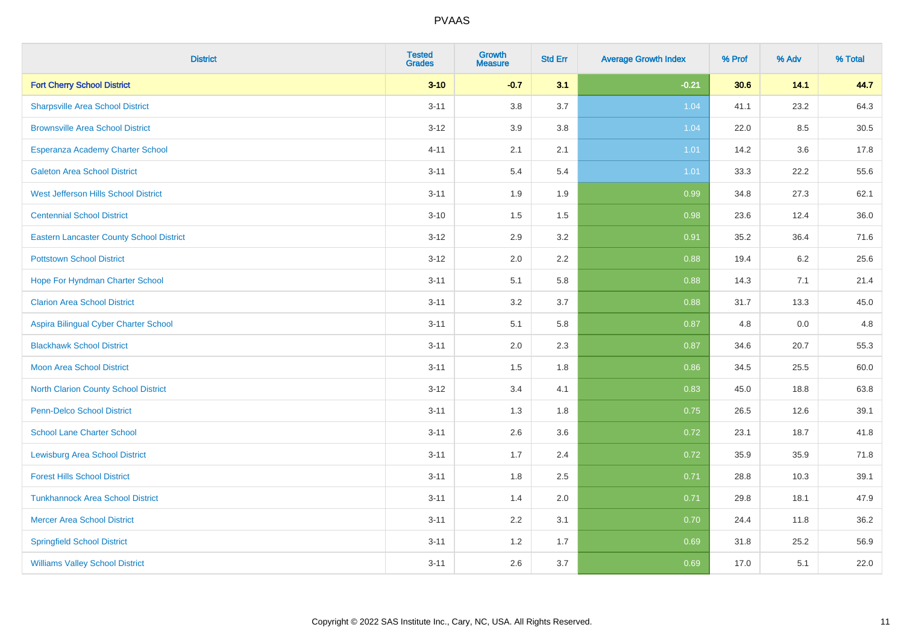| <b>District</b>                                 | <b>Tested</b><br><b>Grades</b> | <b>Growth</b><br><b>Measure</b> | <b>Std Err</b> | <b>Average Growth Index</b> | % Prof | % Adv   | % Total |
|-------------------------------------------------|--------------------------------|---------------------------------|----------------|-----------------------------|--------|---------|---------|
| <b>Fort Cherry School District</b>              | $3 - 10$                       | $-0.7$                          | 3.1            | $-0.21$                     | 30.6   | 14.1    | 44.7    |
| <b>Sharpsville Area School District</b>         | $3 - 11$                       | 3.8                             | 3.7            | 1.04                        | 41.1   | 23.2    | 64.3    |
| <b>Brownsville Area School District</b>         | $3 - 12$                       | 3.9                             | 3.8            | 1.04                        | 22.0   | 8.5     | 30.5    |
| Esperanza Academy Charter School                | $4 - 11$                       | 2.1                             | 2.1            | 1.01                        | 14.2   | $3.6\,$ | 17.8    |
| <b>Galeton Area School District</b>             | $3 - 11$                       | 5.4                             | 5.4            | 1.01                        | 33.3   | 22.2    | 55.6    |
| West Jefferson Hills School District            | $3 - 11$                       | 1.9                             | 1.9            | 0.99                        | 34.8   | 27.3    | 62.1    |
| <b>Centennial School District</b>               | $3 - 10$                       | 1.5                             | 1.5            | 0.98                        | 23.6   | 12.4    | 36.0    |
| <b>Eastern Lancaster County School District</b> | $3 - 12$                       | 2.9                             | 3.2            | 0.91                        | 35.2   | 36.4    | 71.6    |
| <b>Pottstown School District</b>                | $3 - 12$                       | 2.0                             | 2.2            | 0.88                        | 19.4   | 6.2     | 25.6    |
| Hope For Hyndman Charter School                 | $3 - 11$                       | 5.1                             | 5.8            | 0.88                        | 14.3   | 7.1     | 21.4    |
| <b>Clarion Area School District</b>             | $3 - 11$                       | 3.2                             | 3.7            | 0.88                        | 31.7   | 13.3    | 45.0    |
| Aspira Bilingual Cyber Charter School           | $3 - 11$                       | 5.1                             | 5.8            | 0.87                        | 4.8    | 0.0     | 4.8     |
| <b>Blackhawk School District</b>                | $3 - 11$                       | 2.0                             | 2.3            | 0.87                        | 34.6   | 20.7    | 55.3    |
| <b>Moon Area School District</b>                | $3 - 11$                       | 1.5                             | 1.8            | 0.86                        | 34.5   | 25.5    | 60.0    |
| North Clarion County School District            | $3 - 12$                       | 3.4                             | 4.1            | 0.83                        | 45.0   | 18.8    | 63.8    |
| <b>Penn-Delco School District</b>               | $3 - 11$                       | 1.3                             | 1.8            | 0.75                        | 26.5   | 12.6    | 39.1    |
| <b>School Lane Charter School</b>               | $3 - 11$                       | 2.6                             | 3.6            | 0.72                        | 23.1   | 18.7    | 41.8    |
| <b>Lewisburg Area School District</b>           | $3 - 11$                       | 1.7                             | 2.4            | 0.72                        | 35.9   | 35.9    | 71.8    |
| <b>Forest Hills School District</b>             | $3 - 11$                       | 1.8                             | 2.5            | 0.71                        | 28.8   | 10.3    | 39.1    |
| <b>Tunkhannock Area School District</b>         | $3 - 11$                       | 1.4                             | 2.0            | 0.71                        | 29.8   | 18.1    | 47.9    |
| <b>Mercer Area School District</b>              | $3 - 11$                       | 2.2                             | 3.1            | 0.70                        | 24.4   | 11.8    | 36.2    |
| <b>Springfield School District</b>              | $3 - 11$                       | 1.2                             | 1.7            | 0.69                        | 31.8   | 25.2    | 56.9    |
| <b>Williams Valley School District</b>          | $3 - 11$                       | 2.6                             | 3.7            | 0.69                        | 17.0   | 5.1     | 22.0    |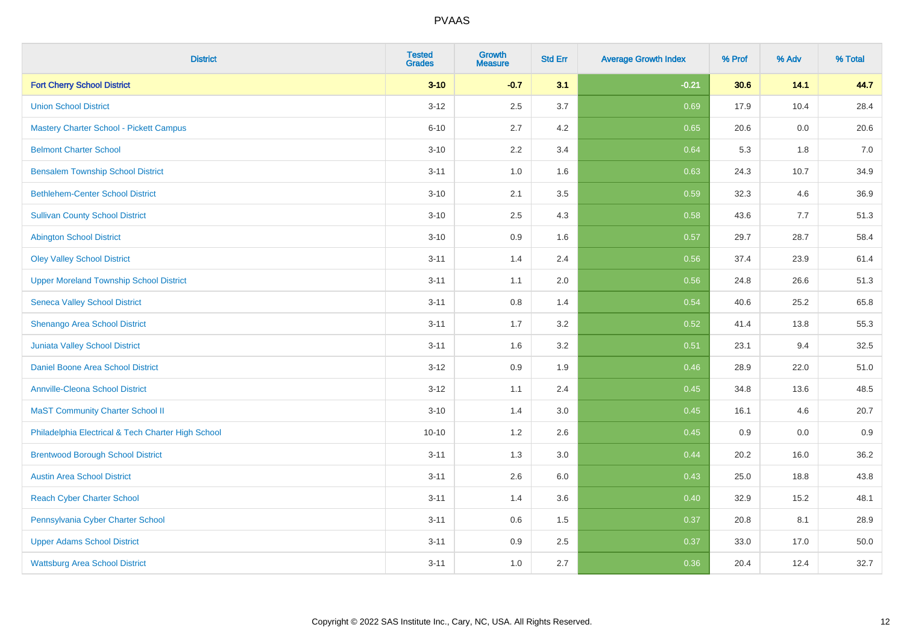| <b>District</b>                                    | <b>Tested</b><br><b>Grades</b> | <b>Growth</b><br><b>Measure</b> | <b>Std Err</b> | <b>Average Growth Index</b> | % Prof | % Adv | % Total |
|----------------------------------------------------|--------------------------------|---------------------------------|----------------|-----------------------------|--------|-------|---------|
| <b>Fort Cherry School District</b>                 | $3 - 10$                       | $-0.7$                          | 3.1            | $-0.21$                     | 30.6   | 14.1  | 44.7    |
| <b>Union School District</b>                       | $3 - 12$                       | 2.5                             | 3.7            | 0.69                        | 17.9   | 10.4  | 28.4    |
| <b>Mastery Charter School - Pickett Campus</b>     | $6 - 10$                       | 2.7                             | 4.2            | 0.65                        | 20.6   | 0.0   | 20.6    |
| <b>Belmont Charter School</b>                      | $3 - 10$                       | 2.2                             | 3.4            | 0.64                        | 5.3    | 1.8   | $7.0\,$ |
| <b>Bensalem Township School District</b>           | $3 - 11$                       | 1.0                             | 1.6            | 0.63                        | 24.3   | 10.7  | 34.9    |
| <b>Bethlehem-Center School District</b>            | $3 - 10$                       | 2.1                             | 3.5            | 0.59                        | 32.3   | 4.6   | 36.9    |
| <b>Sullivan County School District</b>             | $3 - 10$                       | 2.5                             | 4.3            | 0.58                        | 43.6   | 7.7   | 51.3    |
| <b>Abington School District</b>                    | $3 - 10$                       | 0.9                             | 1.6            | 0.57                        | 29.7   | 28.7  | 58.4    |
| <b>Oley Valley School District</b>                 | $3 - 11$                       | 1.4                             | 2.4            | 0.56                        | 37.4   | 23.9  | 61.4    |
| <b>Upper Moreland Township School District</b>     | $3 - 11$                       | 1.1                             | 2.0            | 0.56                        | 24.8   | 26.6  | 51.3    |
| <b>Seneca Valley School District</b>               | $3 - 11$                       | 0.8                             | 1.4            | 0.54                        | 40.6   | 25.2  | 65.8    |
| Shenango Area School District                      | $3 - 11$                       | 1.7                             | 3.2            | 0.52                        | 41.4   | 13.8  | 55.3    |
| Juniata Valley School District                     | $3 - 11$                       | 1.6                             | 3.2            | 0.51                        | 23.1   | 9.4   | 32.5    |
| Daniel Boone Area School District                  | $3 - 12$                       | 0.9                             | 1.9            | 0.46                        | 28.9   | 22.0  | 51.0    |
| <b>Annville-Cleona School District</b>             | $3 - 12$                       | 1.1                             | 2.4            | 0.45                        | 34.8   | 13.6  | 48.5    |
| <b>MaST Community Charter School II</b>            | $3 - 10$                       | 1.4                             | 3.0            | 0.45                        | 16.1   | 4.6   | 20.7    |
| Philadelphia Electrical & Tech Charter High School | $10 - 10$                      | 1.2                             | 2.6            | 0.45                        | 0.9    | 0.0   | 0.9     |
| <b>Brentwood Borough School District</b>           | $3 - 11$                       | 1.3                             | 3.0            | 0.44                        | 20.2   | 16.0  | 36.2    |
| <b>Austin Area School District</b>                 | $3 - 11$                       | 2.6                             | 6.0            | 0.43                        | 25.0   | 18.8  | 43.8    |
| <b>Reach Cyber Charter School</b>                  | $3 - 11$                       | 1.4                             | 3.6            | 0.40                        | 32.9   | 15.2  | 48.1    |
| Pennsylvania Cyber Charter School                  | $3 - 11$                       | 0.6                             | 1.5            | 0.37                        | 20.8   | 8.1   | 28.9    |
| <b>Upper Adams School District</b>                 | $3 - 11$                       | 0.9                             | 2.5            | 0.37                        | 33.0   | 17.0  | 50.0    |
| <b>Wattsburg Area School District</b>              | $3 - 11$                       | 1.0                             | 2.7            | 0.36                        | 20.4   | 12.4  | 32.7    |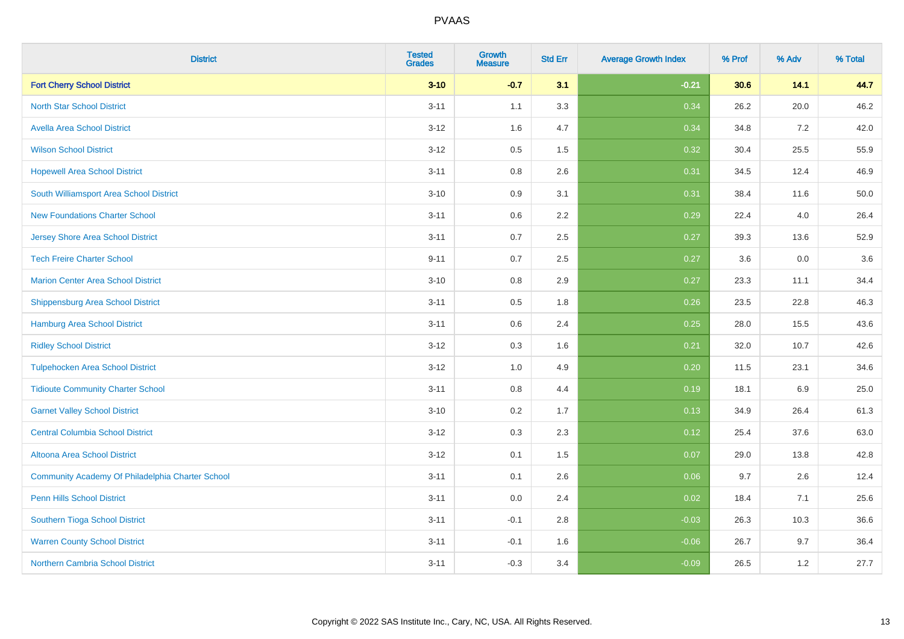| <b>District</b>                                  | <b>Tested</b><br><b>Grades</b> | <b>Growth</b><br><b>Measure</b> | <b>Std Err</b> | <b>Average Growth Index</b> | % Prof | % Adv | % Total |
|--------------------------------------------------|--------------------------------|---------------------------------|----------------|-----------------------------|--------|-------|---------|
| <b>Fort Cherry School District</b>               | $3 - 10$                       | $-0.7$                          | 3.1            | $-0.21$                     | 30.6   | 14.1  | 44.7    |
| <b>North Star School District</b>                | $3 - 11$                       | 1.1                             | 3.3            | 0.34                        | 26.2   | 20.0  | 46.2    |
| <b>Avella Area School District</b>               | $3 - 12$                       | 1.6                             | 4.7            | 0.34                        | 34.8   | 7.2   | 42.0    |
| <b>Wilson School District</b>                    | $3 - 12$                       | 0.5                             | 1.5            | 0.32                        | 30.4   | 25.5  | 55.9    |
| <b>Hopewell Area School District</b>             | $3 - 11$                       | 0.8                             | 2.6            | 0.31                        | 34.5   | 12.4  | 46.9    |
| South Williamsport Area School District          | $3 - 10$                       | 0.9                             | 3.1            | 0.31                        | 38.4   | 11.6  | 50.0    |
| <b>New Foundations Charter School</b>            | $3 - 11$                       | 0.6                             | 2.2            | 0.29                        | 22.4   | 4.0   | 26.4    |
| <b>Jersey Shore Area School District</b>         | $3 - 11$                       | 0.7                             | 2.5            | 0.27                        | 39.3   | 13.6  | 52.9    |
| <b>Tech Freire Charter School</b>                | $9 - 11$                       | 0.7                             | 2.5            | 0.27                        | 3.6    | 0.0   | 3.6     |
| <b>Marion Center Area School District</b>        | $3 - 10$                       | 0.8                             | 2.9            | 0.27                        | 23.3   | 11.1  | 34.4    |
| <b>Shippensburg Area School District</b>         | $3 - 11$                       | 0.5                             | 1.8            | 0.26                        | 23.5   | 22.8  | 46.3    |
| <b>Hamburg Area School District</b>              | $3 - 11$                       | 0.6                             | 2.4            | 0.25                        | 28.0   | 15.5  | 43.6    |
| <b>Ridley School District</b>                    | $3 - 12$                       | 0.3                             | 1.6            | 0.21                        | 32.0   | 10.7  | 42.6    |
| <b>Tulpehocken Area School District</b>          | $3 - 12$                       | 1.0                             | 4.9            | 0.20                        | 11.5   | 23.1  | 34.6    |
| <b>Tidioute Community Charter School</b>         | $3 - 11$                       | 0.8                             | 4.4            | 0.19                        | 18.1   | 6.9   | 25.0    |
| <b>Garnet Valley School District</b>             | $3 - 10$                       | 0.2                             | 1.7            | 0.13                        | 34.9   | 26.4  | 61.3    |
| <b>Central Columbia School District</b>          | $3 - 12$                       | 0.3                             | 2.3            | 0.12                        | 25.4   | 37.6  | 63.0    |
| Altoona Area School District                     | $3 - 12$                       | 0.1                             | 1.5            | 0.07                        | 29.0   | 13.8  | 42.8    |
| Community Academy Of Philadelphia Charter School | $3 - 11$                       | 0.1                             | 2.6            | 0.06                        | 9.7    | 2.6   | 12.4    |
| Penn Hills School District                       | $3 - 11$                       | 0.0                             | 2.4            | 0.02                        | 18.4   | 7.1   | 25.6    |
| Southern Tioga School District                   | $3 - 11$                       | $-0.1$                          | 2.8            | $-0.03$                     | 26.3   | 10.3  | 36.6    |
| <b>Warren County School District</b>             | $3 - 11$                       | $-0.1$                          | 1.6            | $-0.06$                     | 26.7   | 9.7   | 36.4    |
| <b>Northern Cambria School District</b>          | $3 - 11$                       | $-0.3$                          | 3.4            | $-0.09$                     | 26.5   | 1.2   | 27.7    |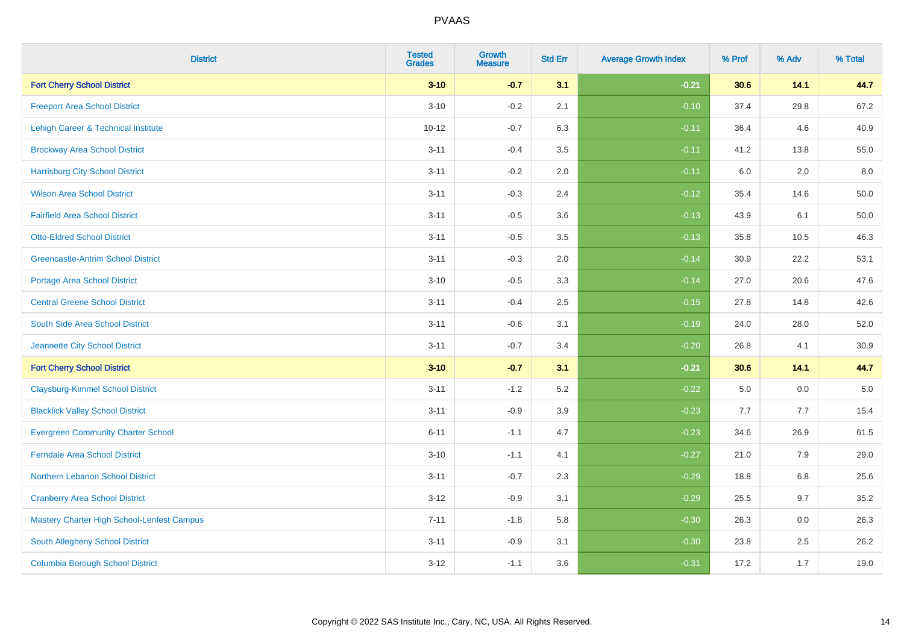| <b>District</b>                                   | <b>Tested</b><br><b>Grades</b> | <b>Growth</b><br><b>Measure</b> | <b>Std Err</b> | <b>Average Growth Index</b> | % Prof | % Adv   | % Total  |
|---------------------------------------------------|--------------------------------|---------------------------------|----------------|-----------------------------|--------|---------|----------|
| <b>Fort Cherry School District</b>                | $3 - 10$                       | $-0.7$                          | 3.1            | $-0.21$                     | 30.6   | 14.1    | 44.7     |
| <b>Freeport Area School District</b>              | $3 - 10$                       | $-0.2$                          | 2.1            | $-0.10$                     | 37.4   | 29.8    | 67.2     |
| Lehigh Career & Technical Institute               | $10 - 12$                      | $-0.7$                          | 6.3            | $-0.11$                     | 36.4   | 4.6     | 40.9     |
| <b>Brockway Area School District</b>              | $3 - 11$                       | $-0.4$                          | 3.5            | $-0.11$                     | 41.2   | 13.8    | 55.0     |
| <b>Harrisburg City School District</b>            | $3 - 11$                       | $-0.2$                          | 2.0            | $-0.11$                     | 6.0    | 2.0     | 8.0      |
| <b>Wilson Area School District</b>                | $3 - 11$                       | $-0.3$                          | 2.4            | $-0.12$                     | 35.4   | 14.6    | 50.0     |
| <b>Fairfield Area School District</b>             | $3 - 11$                       | $-0.5$                          | 3.6            | $-0.13$                     | 43.9   | 6.1     | 50.0     |
| <b>Otto-Eldred School District</b>                | $3 - 11$                       | $-0.5$                          | 3.5            | $-0.13$                     | 35.8   | 10.5    | 46.3     |
| <b>Greencastle-Antrim School District</b>         | $3 - 11$                       | $-0.3$                          | 2.0            | $-0.14$                     | 30.9   | 22.2    | 53.1     |
| <b>Portage Area School District</b>               | $3 - 10$                       | $-0.5$                          | 3.3            | $-0.14$                     | 27.0   | 20.6    | 47.6     |
| <b>Central Greene School District</b>             | $3 - 11$                       | $-0.4$                          | 2.5            | $-0.15$                     | 27.8   | 14.8    | 42.6     |
| South Side Area School District                   | $3 - 11$                       | $-0.6$                          | 3.1            | $-0.19$                     | 24.0   | 28.0    | 52.0     |
| Jeannette City School District                    | $3 - 11$                       | $-0.7$                          | 3.4            | $-0.20$                     | 26.8   | 4.1     | $30.9\,$ |
| <b>Fort Cherry School District</b>                | $3 - 10$                       | $-0.7$                          | 3.1            | $-0.21$                     | 30.6   | 14.1    | 44.7     |
| <b>Claysburg-Kimmel School District</b>           | $3 - 11$                       | $-1.2$                          | 5.2            | $-0.22$                     | 5.0    | 0.0     | $5.0\,$  |
| <b>Blacklick Valley School District</b>           | $3 - 11$                       | $-0.9$                          | 3.9            | $-0.23$                     | 7.7    | 7.7     | 15.4     |
| <b>Evergreen Community Charter School</b>         | $6 - 11$                       | $-1.1$                          | 4.7            | $-0.23$                     | 34.6   | 26.9    | 61.5     |
| <b>Ferndale Area School District</b>              | $3 - 10$                       | $-1.1$                          | 4.1            | $-0.27$                     | 21.0   | 7.9     | 29.0     |
| Northern Lebanon School District                  | $3 - 11$                       | $-0.7$                          | 2.3            | $-0.29$                     | 18.8   | $6.8\,$ | 25.6     |
| <b>Cranberry Area School District</b>             | $3 - 12$                       | $-0.9$                          | 3.1            | $-0.29$                     | 25.5   | 9.7     | 35.2     |
| <b>Mastery Charter High School-Lenfest Campus</b> | $7 - 11$                       | $-1.8$                          | 5.8            | $-0.30$                     | 26.3   | 0.0     | 26.3     |
| South Allegheny School District                   | $3 - 11$                       | $-0.9$                          | 3.1            | $-0.30$                     | 23.8   | 2.5     | 26.2     |
| <b>Columbia Borough School District</b>           | $3 - 12$                       | $-1.1$                          | 3.6            | $-0.31$                     | 17.2   | 1.7     | 19.0     |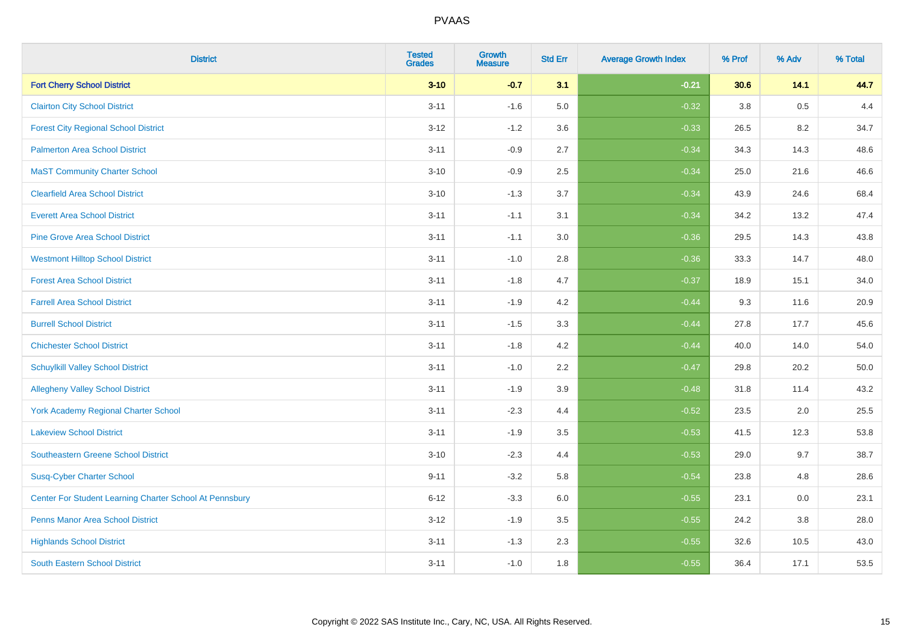| <b>District</b>                                         | <b>Tested</b><br><b>Grades</b> | Growth<br><b>Measure</b> | <b>Std Err</b> | <b>Average Growth Index</b> | % Prof | % Adv | % Total |
|---------------------------------------------------------|--------------------------------|--------------------------|----------------|-----------------------------|--------|-------|---------|
| <b>Fort Cherry School District</b>                      | $3 - 10$                       | $-0.7$                   | 3.1            | $-0.21$                     | 30.6   | 14.1  | 44.7    |
| <b>Clairton City School District</b>                    | $3 - 11$                       | $-1.6$                   | 5.0            | $-0.32$                     | 3.8    | 0.5   | 4.4     |
| <b>Forest City Regional School District</b>             | $3-12$                         | $-1.2$                   | 3.6            | $-0.33$                     | 26.5   | 8.2   | 34.7    |
| <b>Palmerton Area School District</b>                   | $3 - 11$                       | $-0.9$                   | 2.7            | $-0.34$                     | 34.3   | 14.3  | 48.6    |
| <b>MaST Community Charter School</b>                    | $3 - 10$                       | $-0.9$                   | 2.5            | $-0.34$                     | 25.0   | 21.6  | 46.6    |
| <b>Clearfield Area School District</b>                  | $3 - 10$                       | $-1.3$                   | 3.7            | $-0.34$                     | 43.9   | 24.6  | 68.4    |
| <b>Everett Area School District</b>                     | $3 - 11$                       | $-1.1$                   | 3.1            | $-0.34$                     | 34.2   | 13.2  | 47.4    |
| <b>Pine Grove Area School District</b>                  | $3 - 11$                       | $-1.1$                   | 3.0            | $-0.36$                     | 29.5   | 14.3  | 43.8    |
| <b>Westmont Hilltop School District</b>                 | $3 - 11$                       | $-1.0$                   | 2.8            | $-0.36$                     | 33.3   | 14.7  | 48.0    |
| <b>Forest Area School District</b>                      | $3 - 11$                       | $-1.8$                   | 4.7            | $-0.37$                     | 18.9   | 15.1  | 34.0    |
| <b>Farrell Area School District</b>                     | $3 - 11$                       | $-1.9$                   | 4.2            | $-0.44$                     | 9.3    | 11.6  | 20.9    |
| <b>Burrell School District</b>                          | $3 - 11$                       | $-1.5$                   | 3.3            | $-0.44$                     | 27.8   | 17.7  | 45.6    |
| <b>Chichester School District</b>                       | $3 - 11$                       | $-1.8$                   | 4.2            | $-0.44$                     | 40.0   | 14.0  | 54.0    |
| <b>Schuylkill Valley School District</b>                | $3 - 11$                       | $-1.0$                   | 2.2            | $-0.47$                     | 29.8   | 20.2  | 50.0    |
| <b>Allegheny Valley School District</b>                 | $3 - 11$                       | $-1.9$                   | 3.9            | $-0.48$                     | 31.8   | 11.4  | 43.2    |
| <b>York Academy Regional Charter School</b>             | $3 - 11$                       | $-2.3$                   | 4.4            | $-0.52$                     | 23.5   | 2.0   | 25.5    |
| <b>Lakeview School District</b>                         | $3 - 11$                       | $-1.9$                   | 3.5            | $-0.53$                     | 41.5   | 12.3  | 53.8    |
| Southeastern Greene School District                     | $3 - 10$                       | $-2.3$                   | 4.4            | $-0.53$                     | 29.0   | 9.7   | 38.7    |
| <b>Susq-Cyber Charter School</b>                        | $9 - 11$                       | $-3.2$                   | 5.8            | $-0.54$                     | 23.8   | 4.8   | 28.6    |
| Center For Student Learning Charter School At Pennsbury | $6 - 12$                       | $-3.3$                   | 6.0            | $-0.55$                     | 23.1   | 0.0   | 23.1    |
| <b>Penns Manor Area School District</b>                 | $3 - 12$                       | $-1.9$                   | 3.5            | $-0.55$                     | 24.2   | 3.8   | 28.0    |
| <b>Highlands School District</b>                        | $3 - 11$                       | $-1.3$                   | 2.3            | $-0.55$                     | 32.6   | 10.5  | 43.0    |
| <b>South Eastern School District</b>                    | $3 - 11$                       | $-1.0$                   | 1.8            | $-0.55$                     | 36.4   | 17.1  | 53.5    |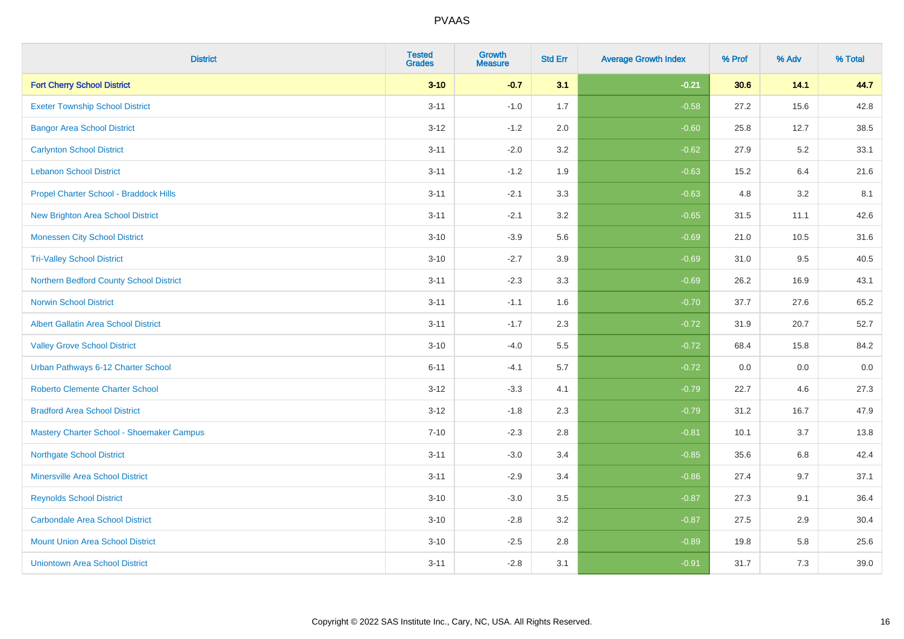| <b>District</b>                             | <b>Tested</b><br><b>Grades</b> | <b>Growth</b><br><b>Measure</b> | <b>Std Err</b> | <b>Average Growth Index</b> | % Prof | % Adv | % Total |
|---------------------------------------------|--------------------------------|---------------------------------|----------------|-----------------------------|--------|-------|---------|
| <b>Fort Cherry School District</b>          | $3 - 10$                       | $-0.7$                          | 3.1            | $-0.21$                     | 30.6   | 14.1  | 44.7    |
| <b>Exeter Township School District</b>      | $3 - 11$                       | $-1.0$                          | 1.7            | $-0.58$                     | 27.2   | 15.6  | 42.8    |
| <b>Bangor Area School District</b>          | $3 - 12$                       | $-1.2$                          | 2.0            | $-0.60$                     | 25.8   | 12.7  | 38.5    |
| <b>Carlynton School District</b>            | $3 - 11$                       | $-2.0$                          | 3.2            | $-0.62$                     | 27.9   | 5.2   | 33.1    |
| <b>Lebanon School District</b>              | $3 - 11$                       | $-1.2$                          | 1.9            | $-0.63$                     | 15.2   | 6.4   | 21.6    |
| Propel Charter School - Braddock Hills      | $3 - 11$                       | $-2.1$                          | 3.3            | $-0.63$                     | 4.8    | 3.2   | 8.1     |
| <b>New Brighton Area School District</b>    | $3 - 11$                       | $-2.1$                          | 3.2            | $-0.65$                     | 31.5   | 11.1  | 42.6    |
| <b>Monessen City School District</b>        | $3 - 10$                       | $-3.9$                          | 5.6            | $-0.69$                     | 21.0   | 10.5  | 31.6    |
| <b>Tri-Valley School District</b>           | $3 - 10$                       | $-2.7$                          | 3.9            | $-0.69$                     | 31.0   | 9.5   | 40.5    |
| Northern Bedford County School District     | $3 - 11$                       | $-2.3$                          | 3.3            | $-0.69$                     | 26.2   | 16.9  | 43.1    |
| <b>Norwin School District</b>               | $3 - 11$                       | $-1.1$                          | 1.6            | $-0.70$                     | 37.7   | 27.6  | 65.2    |
| <b>Albert Gallatin Area School District</b> | $3 - 11$                       | $-1.7$                          | 2.3            | $-0.72$                     | 31.9   | 20.7  | 52.7    |
| <b>Valley Grove School District</b>         | $3 - 10$                       | $-4.0$                          | 5.5            | $-0.72$                     | 68.4   | 15.8  | 84.2    |
| Urban Pathways 6-12 Charter School          | $6 - 11$                       | $-4.1$                          | 5.7            | $-0.72$                     | 0.0    | 0.0   | $0.0\,$ |
| <b>Roberto Clemente Charter School</b>      | $3-12$                         | $-3.3$                          | 4.1            | $-0.79$                     | 22.7   | 4.6   | 27.3    |
| <b>Bradford Area School District</b>        | $3 - 12$                       | $-1.8$                          | 2.3            | $-0.79$                     | 31.2   | 16.7  | 47.9    |
| Mastery Charter School - Shoemaker Campus   | $7 - 10$                       | $-2.3$                          | 2.8            | $-0.81$                     | 10.1   | 3.7   | 13.8    |
| <b>Northgate School District</b>            | $3 - 11$                       | $-3.0$                          | 3.4            | $-0.85$                     | 35.6   | 6.8   | 42.4    |
| <b>Minersville Area School District</b>     | $3 - 11$                       | $-2.9$                          | 3.4            | $-0.86$                     | 27.4   | 9.7   | 37.1    |
| <b>Reynolds School District</b>             | $3 - 10$                       | $-3.0$                          | 3.5            | $-0.87$                     | 27.3   | 9.1   | 36.4    |
| <b>Carbondale Area School District</b>      | $3 - 10$                       | $-2.8$                          | 3.2            | $-0.87$                     | 27.5   | 2.9   | 30.4    |
| <b>Mount Union Area School District</b>     | $3 - 10$                       | $-2.5$                          | 2.8            | $-0.89$                     | 19.8   | 5.8   | 25.6    |
| <b>Uniontown Area School District</b>       | $3 - 11$                       | $-2.8$                          | 3.1            | $-0.91$                     | 31.7   | 7.3   | 39.0    |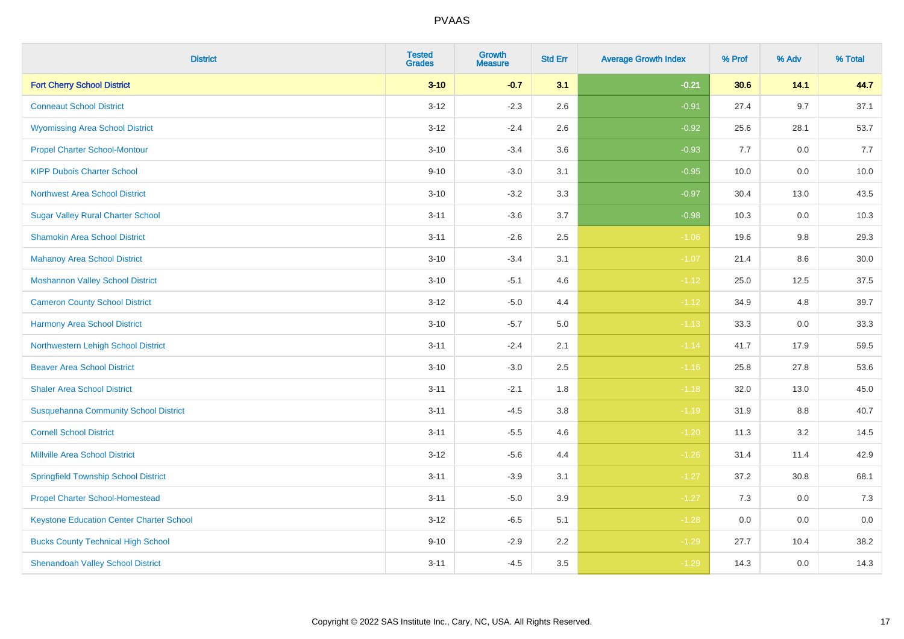| <b>District</b>                                 | <b>Tested</b><br><b>Grades</b> | <b>Growth</b><br><b>Measure</b> | <b>Std Err</b> | <b>Average Growth Index</b> | % Prof | % Adv   | % Total |
|-------------------------------------------------|--------------------------------|---------------------------------|----------------|-----------------------------|--------|---------|---------|
| <b>Fort Cherry School District</b>              | $3 - 10$                       | $-0.7$                          | 3.1            | $-0.21$                     | 30.6   | 14.1    | 44.7    |
| <b>Conneaut School District</b>                 | $3 - 12$                       | $-2.3$                          | 2.6            | $-0.91$                     | 27.4   | 9.7     | 37.1    |
| <b>Wyomissing Area School District</b>          | $3 - 12$                       | $-2.4$                          | 2.6            | $-0.92$                     | 25.6   | 28.1    | 53.7    |
| <b>Propel Charter School-Montour</b>            | $3 - 10$                       | $-3.4$                          | 3.6            | $-0.93$                     | 7.7    | $0.0\,$ | 7.7     |
| <b>KIPP Dubois Charter School</b>               | $9 - 10$                       | $-3.0$                          | 3.1            | $-0.95$                     | 10.0   | 0.0     | 10.0    |
| <b>Northwest Area School District</b>           | $3 - 10$                       | $-3.2$                          | 3.3            | $-0.97$                     | 30.4   | 13.0    | 43.5    |
| <b>Sugar Valley Rural Charter School</b>        | $3 - 11$                       | $-3.6$                          | 3.7            | $-0.98$                     | 10.3   | 0.0     | 10.3    |
| <b>Shamokin Area School District</b>            | $3 - 11$                       | $-2.6$                          | 2.5            | $-1.06$                     | 19.6   | 9.8     | 29.3    |
| <b>Mahanoy Area School District</b>             | $3 - 10$                       | $-3.4$                          | 3.1            | $-1.07$                     | 21.4   | 8.6     | 30.0    |
| <b>Moshannon Valley School District</b>         | $3 - 10$                       | $-5.1$                          | 4.6            | $-1.12$                     | 25.0   | 12.5    | 37.5    |
| <b>Cameron County School District</b>           | $3 - 12$                       | $-5.0$                          | 4.4            | $-1.12$                     | 34.9   | 4.8     | 39.7    |
| <b>Harmony Area School District</b>             | $3 - 10$                       | $-5.7$                          | 5.0            | $-1.13$                     | 33.3   | 0.0     | 33.3    |
| Northwestern Lehigh School District             | $3 - 11$                       | $-2.4$                          | 2.1            | $-1.14$                     | 41.7   | 17.9    | 59.5    |
| <b>Beaver Area School District</b>              | $3 - 10$                       | $-3.0$                          | 2.5            | $-1.16$                     | 25.8   | 27.8    | 53.6    |
| <b>Shaler Area School District</b>              | $3 - 11$                       | $-2.1$                          | 1.8            | $-1.18$                     | 32.0   | 13.0    | 45.0    |
| <b>Susquehanna Community School District</b>    | $3 - 11$                       | $-4.5$                          | $3.8\,$        | $-1.19$                     | 31.9   | $8.8\,$ | 40.7    |
| <b>Cornell School District</b>                  | $3 - 11$                       | $-5.5$                          | 4.6            | $-1.20$                     | 11.3   | 3.2     | 14.5    |
| <b>Millville Area School District</b>           | $3 - 12$                       | $-5.6$                          | 4.4            | $-1.26$                     | 31.4   | 11.4    | 42.9    |
| <b>Springfield Township School District</b>     | $3 - 11$                       | $-3.9$                          | 3.1            | $-1.27$                     | 37.2   | 30.8    | 68.1    |
| <b>Propel Charter School-Homestead</b>          | $3 - 11$                       | $-5.0$                          | 3.9            | $-1.27$                     | 7.3    | 0.0     | 7.3     |
| <b>Keystone Education Center Charter School</b> | $3 - 12$                       | $-6.5$                          | 5.1            | $-1.28$                     | 0.0    | 0.0     | 0.0     |
| <b>Bucks County Technical High School</b>       | $9 - 10$                       | $-2.9$                          | 2.2            | $-1.29$                     | 27.7   | 10.4    | 38.2    |
| <b>Shenandoah Valley School District</b>        | $3 - 11$                       | $-4.5$                          | 3.5            | $-1.29$                     | 14.3   | 0.0     | 14.3    |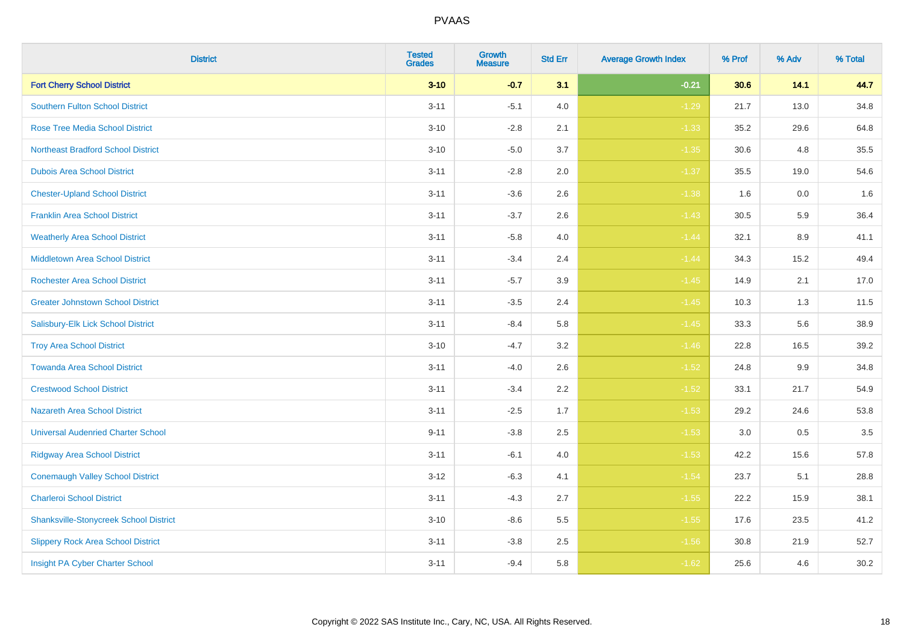| <b>District</b>                               | <b>Tested</b><br><b>Grades</b> | Growth<br><b>Measure</b> | <b>Std Err</b> | <b>Average Growth Index</b> | % Prof | % Adv | % Total |
|-----------------------------------------------|--------------------------------|--------------------------|----------------|-----------------------------|--------|-------|---------|
| <b>Fort Cherry School District</b>            | $3 - 10$                       | $-0.7$                   | 3.1            | $-0.21$                     | 30.6   | 14.1  | 44.7    |
| <b>Southern Fulton School District</b>        | $3 - 11$                       | $-5.1$                   | 4.0            | $-1.29$                     | 21.7   | 13.0  | 34.8    |
| <b>Rose Tree Media School District</b>        | $3 - 10$                       | $-2.8$                   | 2.1            | $-1.33$                     | 35.2   | 29.6  | 64.8    |
| <b>Northeast Bradford School District</b>     | $3 - 10$                       | $-5.0$                   | 3.7            | $-1.35$                     | 30.6   | 4.8   | 35.5    |
| <b>Dubois Area School District</b>            | $3 - 11$                       | $-2.8$                   | 2.0            | $-1.37$                     | 35.5   | 19.0  | 54.6    |
| <b>Chester-Upland School District</b>         | $3 - 11$                       | $-3.6$                   | 2.6            | $-1.38$                     | 1.6    | 0.0   | 1.6     |
| <b>Franklin Area School District</b>          | $3 - 11$                       | $-3.7$                   | 2.6            | $-1.43$                     | 30.5   | 5.9   | 36.4    |
| <b>Weatherly Area School District</b>         | $3 - 11$                       | $-5.8$                   | 4.0            | $-1.44$                     | 32.1   | 8.9   | 41.1    |
| <b>Middletown Area School District</b>        | $3 - 11$                       | $-3.4$                   | 2.4            | $-1.44$                     | 34.3   | 15.2  | 49.4    |
| <b>Rochester Area School District</b>         | $3 - 11$                       | $-5.7$                   | 3.9            | $-1.45$                     | 14.9   | 2.1   | 17.0    |
| <b>Greater Johnstown School District</b>      | $3 - 11$                       | $-3.5$                   | 2.4            | $-1.45$                     | 10.3   | 1.3   | 11.5    |
| Salisbury-Elk Lick School District            | $3 - 11$                       | $-8.4$                   | 5.8            | $-1.45$                     | 33.3   | 5.6   | 38.9    |
| <b>Troy Area School District</b>              | $3 - 10$                       | $-4.7$                   | $3.2\,$        | $-1.46$                     | 22.8   | 16.5  | 39.2    |
| <b>Towanda Area School District</b>           | $3 - 11$                       | $-4.0$                   | 2.6            | $-1.52$                     | 24.8   | 9.9   | 34.8    |
| <b>Crestwood School District</b>              | $3 - 11$                       | $-3.4$                   | 2.2            | $-1.52$                     | 33.1   | 21.7  | 54.9    |
| <b>Nazareth Area School District</b>          | $3 - 11$                       | $-2.5$                   | 1.7            | $-1.53$                     | 29.2   | 24.6  | 53.8    |
| <b>Universal Audenried Charter School</b>     | $9 - 11$                       | $-3.8$                   | 2.5            | $-1.53$                     | 3.0    | 0.5   | 3.5     |
| <b>Ridgway Area School District</b>           | $3 - 11$                       | $-6.1$                   | 4.0            | $-1.53$                     | 42.2   | 15.6  | 57.8    |
| <b>Conemaugh Valley School District</b>       | $3 - 12$                       | $-6.3$                   | 4.1            | $-1.54$                     | 23.7   | 5.1   | 28.8    |
| <b>Charleroi School District</b>              | $3 - 11$                       | $-4.3$                   | 2.7            | $-1.55$                     | 22.2   | 15.9  | 38.1    |
| <b>Shanksville-Stonycreek School District</b> | $3 - 10$                       | $-8.6$                   | 5.5            | $-1.55$                     | 17.6   | 23.5  | 41.2    |
| <b>Slippery Rock Area School District</b>     | $3 - 11$                       | $-3.8$                   | 2.5            | $-1.56$                     | 30.8   | 21.9  | 52.7    |
| Insight PA Cyber Charter School               | $3 - 11$                       | $-9.4$                   | 5.8            | $-1.62$                     | 25.6   | 4.6   | 30.2    |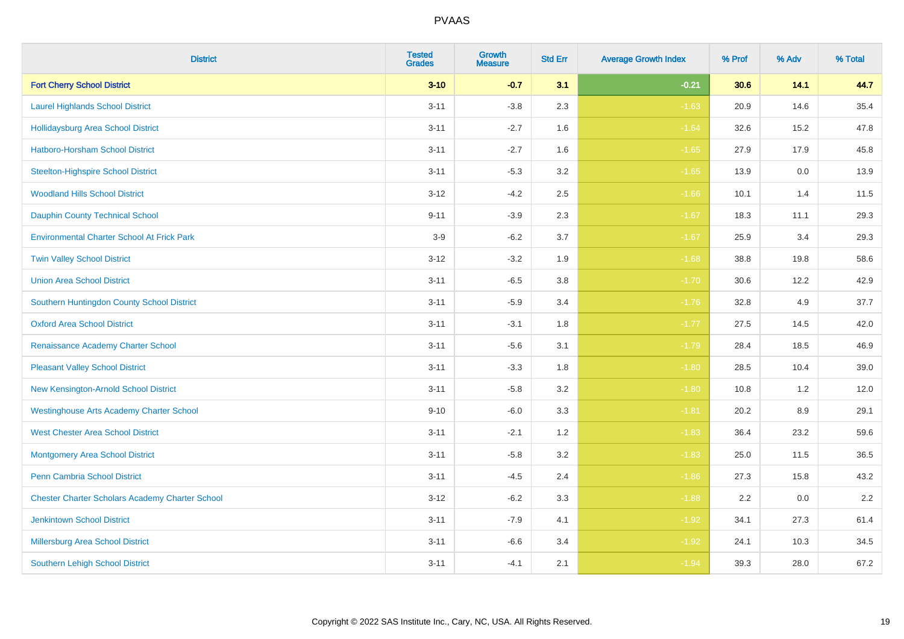| <b>District</b>                                        | <b>Tested</b><br><b>Grades</b> | Growth<br><b>Measure</b> | <b>Std Err</b> | <b>Average Growth Index</b> | % Prof | % Adv   | % Total |
|--------------------------------------------------------|--------------------------------|--------------------------|----------------|-----------------------------|--------|---------|---------|
| <b>Fort Cherry School District</b>                     | $3 - 10$                       | $-0.7$                   | 3.1            | $-0.21$                     | 30.6   | 14.1    | 44.7    |
| <b>Laurel Highlands School District</b>                | $3 - 11$                       | $-3.8$                   | 2.3            | $-1.63$                     | 20.9   | 14.6    | 35.4    |
| <b>Hollidaysburg Area School District</b>              | $3 - 11$                       | $-2.7$                   | 1.6            | $-1.64$                     | 32.6   | 15.2    | 47.8    |
| Hatboro-Horsham School District                        | $3 - 11$                       | $-2.7$                   | 1.6            | $-1.65$                     | 27.9   | 17.9    | 45.8    |
| <b>Steelton-Highspire School District</b>              | $3 - 11$                       | $-5.3$                   | 3.2            | $-1.65$                     | 13.9   | 0.0     | 13.9    |
| <b>Woodland Hills School District</b>                  | $3 - 12$                       | $-4.2$                   | 2.5            | $-1.66$                     | 10.1   | 1.4     | 11.5    |
| Dauphin County Technical School                        | $9 - 11$                       | $-3.9$                   | 2.3            | $-1.67$                     | 18.3   | 11.1    | 29.3    |
| <b>Environmental Charter School At Frick Park</b>      | $3-9$                          | $-6.2$                   | 3.7            | $-1.67$                     | 25.9   | 3.4     | 29.3    |
| <b>Twin Valley School District</b>                     | $3 - 12$                       | $-3.2$                   | 1.9            | $-1.68$                     | 38.8   | 19.8    | 58.6    |
| <b>Union Area School District</b>                      | $3 - 11$                       | $-6.5$                   | 3.8            | $-1.70$                     | 30.6   | 12.2    | 42.9    |
| Southern Huntingdon County School District             | $3 - 11$                       | $-5.9$                   | 3.4            | $-1.76$                     | 32.8   | 4.9     | 37.7    |
| <b>Oxford Area School District</b>                     | $3 - 11$                       | $-3.1$                   | 1.8            | $-1.77$                     | 27.5   | 14.5    | 42.0    |
| Renaissance Academy Charter School                     | $3 - 11$                       | $-5.6$                   | 3.1            | $-1.79$                     | 28.4   | 18.5    | 46.9    |
| <b>Pleasant Valley School District</b>                 | $3 - 11$                       | $-3.3$                   | 1.8            | $-1.80$                     | 28.5   | 10.4    | 39.0    |
| New Kensington-Arnold School District                  | $3 - 11$                       | $-5.8$                   | 3.2            | $-1.80$                     | 10.8   | 1.2     | 12.0    |
| <b>Westinghouse Arts Academy Charter School</b>        | $9 - 10$                       | $-6.0$                   | 3.3            | $-1.81$                     | 20.2   | $8.9\,$ | 29.1    |
| <b>West Chester Area School District</b>               | $3 - 11$                       | $-2.1$                   | 1.2            | $-1.83$                     | 36.4   | 23.2    | 59.6    |
| <b>Montgomery Area School District</b>                 | $3 - 11$                       | $-5.8$                   | 3.2            | $-1.83$                     | 25.0   | 11.5    | 36.5    |
| <b>Penn Cambria School District</b>                    | $3 - 11$                       | $-4.5$                   | 2.4            | $-1.86$                     | 27.3   | 15.8    | 43.2    |
| <b>Chester Charter Scholars Academy Charter School</b> | $3 - 12$                       | $-6.2$                   | 3.3            | $-1.88$                     | 2.2    | 0.0     | 2.2     |
| <b>Jenkintown School District</b>                      | $3 - 11$                       | $-7.9$                   | 4.1            | $-1.92$                     | 34.1   | 27.3    | 61.4    |
| Millersburg Area School District                       | $3 - 11$                       | $-6.6$                   | 3.4            | $-1.92$                     | 24.1   | 10.3    | 34.5    |
| <b>Southern Lehigh School District</b>                 | $3 - 11$                       | $-4.1$                   | 2.1            | $-1.94$                     | 39.3   | 28.0    | 67.2    |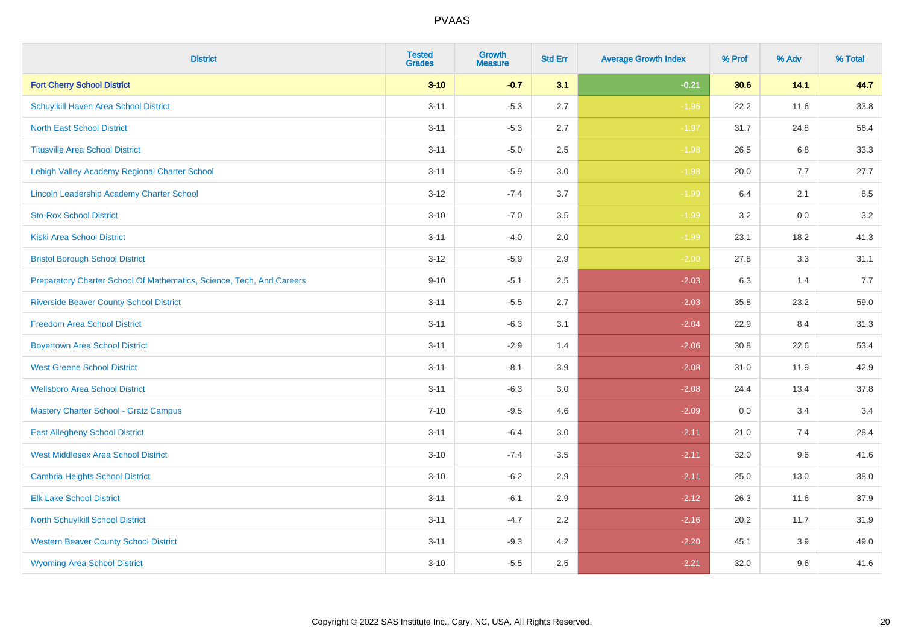| <b>District</b>                                                       | <b>Tested</b><br><b>Grades</b> | <b>Growth</b><br><b>Measure</b> | <b>Std Err</b> | <b>Average Growth Index</b> | % Prof | % Adv   | % Total |
|-----------------------------------------------------------------------|--------------------------------|---------------------------------|----------------|-----------------------------|--------|---------|---------|
| <b>Fort Cherry School District</b>                                    | $3 - 10$                       | $-0.7$                          | 3.1            | $-0.21$                     | 30.6   | 14.1    | 44.7    |
| Schuylkill Haven Area School District                                 | $3 - 11$                       | $-5.3$                          | 2.7            | $-1.96$                     | 22.2   | 11.6    | 33.8    |
| <b>North East School District</b>                                     | $3 - 11$                       | $-5.3$                          | 2.7            | $-1.97$                     | 31.7   | 24.8    | 56.4    |
| <b>Titusville Area School District</b>                                | $3 - 11$                       | $-5.0$                          | 2.5            | $-1.98$                     | 26.5   | 6.8     | 33.3    |
| Lehigh Valley Academy Regional Charter School                         | $3 - 11$                       | $-5.9$                          | 3.0            | $-1.98$                     | 20.0   | 7.7     | 27.7    |
| Lincoln Leadership Academy Charter School                             | $3 - 12$                       | $-7.4$                          | 3.7            | $-1.99$                     | 6.4    | 2.1     | 8.5     |
| <b>Sto-Rox School District</b>                                        | $3 - 10$                       | $-7.0$                          | 3.5            | $-1.99$                     | 3.2    | $0.0\,$ | 3.2     |
| <b>Kiski Area School District</b>                                     | $3 - 11$                       | $-4.0$                          | 2.0            | $-1.99$                     | 23.1   | 18.2    | 41.3    |
| <b>Bristol Borough School District</b>                                | $3 - 12$                       | $-5.9$                          | 2.9            | $-2.00$                     | 27.8   | 3.3     | 31.1    |
| Preparatory Charter School Of Mathematics, Science, Tech, And Careers | $9 - 10$                       | $-5.1$                          | $2.5\,$        | $-2.03$                     | 6.3    | 1.4     | 7.7     |
| <b>Riverside Beaver County School District</b>                        | $3 - 11$                       | $-5.5$                          | 2.7            | $-2.03$                     | 35.8   | 23.2    | 59.0    |
| <b>Freedom Area School District</b>                                   | $3 - 11$                       | $-6.3$                          | 3.1            | $-2.04$                     | 22.9   | 8.4     | 31.3    |
| <b>Boyertown Area School District</b>                                 | $3 - 11$                       | $-2.9$                          | 1.4            | $-2.06$                     | 30.8   | 22.6    | 53.4    |
| <b>West Greene School District</b>                                    | $3 - 11$                       | $-8.1$                          | 3.9            | $-2.08$                     | 31.0   | 11.9    | 42.9    |
| <b>Wellsboro Area School District</b>                                 | $3 - 11$                       | $-6.3$                          | 3.0            | $-2.08$                     | 24.4   | 13.4    | 37.8    |
| <b>Mastery Charter School - Gratz Campus</b>                          | $7 - 10$                       | $-9.5$                          | 4.6            | $-2.09$                     | 0.0    | 3.4     | 3.4     |
| <b>East Allegheny School District</b>                                 | $3 - 11$                       | $-6.4$                          | 3.0            | $-2.11$                     | 21.0   | 7.4     | 28.4    |
| <b>West Middlesex Area School District</b>                            | $3 - 10$                       | $-7.4$                          | 3.5            | $-2.11$                     | 32.0   | 9.6     | 41.6    |
| <b>Cambria Heights School District</b>                                | $3 - 10$                       | $-6.2$                          | 2.9            | $-2.11$                     | 25.0   | 13.0    | 38.0    |
| <b>Elk Lake School District</b>                                       | $3 - 11$                       | $-6.1$                          | 2.9            | $-2.12$                     | 26.3   | 11.6    | 37.9    |
| North Schuylkill School District                                      | $3 - 11$                       | $-4.7$                          | 2.2            | $-2.16$                     | 20.2   | 11.7    | 31.9    |
| <b>Western Beaver County School District</b>                          | $3 - 11$                       | $-9.3$                          | 4.2            | $-2.20$                     | 45.1   | 3.9     | 49.0    |
| <b>Wyoming Area School District</b>                                   | $3 - 10$                       | $-5.5$                          | 2.5            | $-2.21$                     | 32.0   | 9.6     | 41.6    |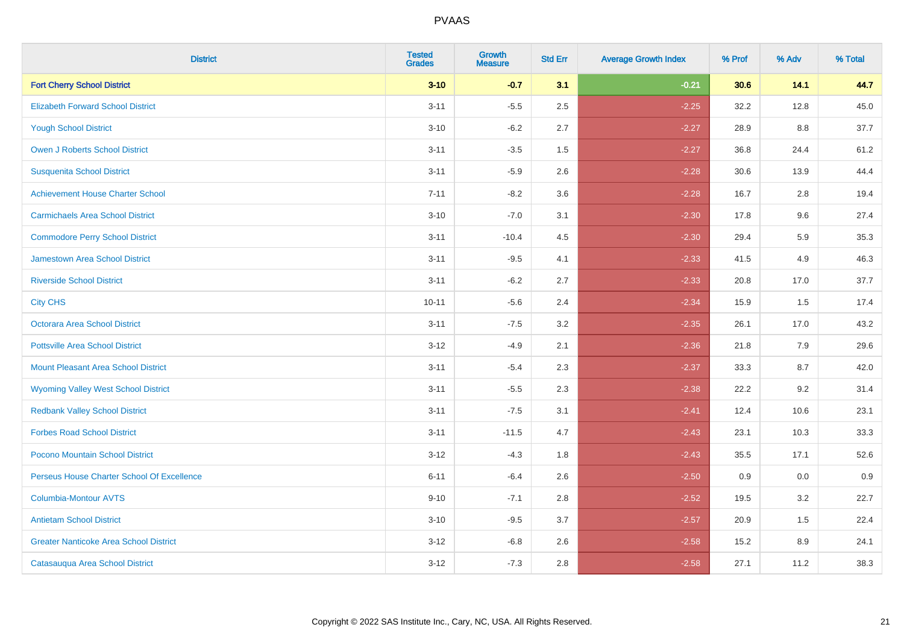| <b>District</b>                               | <b>Tested</b><br><b>Grades</b> | Growth<br><b>Measure</b> | <b>Std Err</b> | <b>Average Growth Index</b> | % Prof | % Adv | % Total |
|-----------------------------------------------|--------------------------------|--------------------------|----------------|-----------------------------|--------|-------|---------|
| <b>Fort Cherry School District</b>            | $3 - 10$                       | $-0.7$                   | 3.1            | $-0.21$                     | 30.6   | 14.1  | 44.7    |
| <b>Elizabeth Forward School District</b>      | $3 - 11$                       | $-5.5$                   | 2.5            | $-2.25$                     | 32.2   | 12.8  | 45.0    |
| <b>Yough School District</b>                  | $3 - 10$                       | $-6.2$                   | 2.7            | $-2.27$                     | 28.9   | 8.8   | 37.7    |
| Owen J Roberts School District                | $3 - 11$                       | $-3.5$                   | 1.5            | $-2.27$                     | 36.8   | 24.4  | 61.2    |
| <b>Susquenita School District</b>             | $3 - 11$                       | $-5.9$                   | 2.6            | $-2.28$                     | 30.6   | 13.9  | 44.4    |
| <b>Achievement House Charter School</b>       | $7 - 11$                       | $-8.2$                   | 3.6            | $-2.28$                     | 16.7   | 2.8   | 19.4    |
| <b>Carmichaels Area School District</b>       | $3 - 10$                       | $-7.0$                   | 3.1            | $-2.30$                     | 17.8   | 9.6   | 27.4    |
| <b>Commodore Perry School District</b>        | $3 - 11$                       | $-10.4$                  | 4.5            | $-2.30$                     | 29.4   | 5.9   | 35.3    |
| Jamestown Area School District                | $3 - 11$                       | $-9.5$                   | 4.1            | $-2.33$                     | 41.5   | 4.9   | 46.3    |
| <b>Riverside School District</b>              | $3 - 11$                       | $-6.2$                   | 2.7            | $-2.33$                     | 20.8   | 17.0  | 37.7    |
| <b>City CHS</b>                               | $10 - 11$                      | $-5.6$                   | 2.4            | $-2.34$                     | 15.9   | 1.5   | 17.4    |
| <b>Octorara Area School District</b>          | $3 - 11$                       | $-7.5$                   | 3.2            | $-2.35$                     | 26.1   | 17.0  | 43.2    |
| <b>Pottsville Area School District</b>        | $3 - 12$                       | $-4.9$                   | 2.1            | $-2.36$                     | 21.8   | 7.9   | 29.6    |
| <b>Mount Pleasant Area School District</b>    | $3 - 11$                       | $-5.4$                   | 2.3            | $-2.37$                     | 33.3   | 8.7   | 42.0    |
| <b>Wyoming Valley West School District</b>    | $3 - 11$                       | $-5.5$                   | 2.3            | $-2.38$                     | 22.2   | 9.2   | 31.4    |
| <b>Redbank Valley School District</b>         | $3 - 11$                       | $-7.5$                   | 3.1            | $-2.41$                     | 12.4   | 10.6  | 23.1    |
| <b>Forbes Road School District</b>            | $3 - 11$                       | $-11.5$                  | 4.7            | $-2.43$                     | 23.1   | 10.3  | 33.3    |
| Pocono Mountain School District               | $3 - 12$                       | $-4.3$                   | 1.8            | $-2.43$                     | 35.5   | 17.1  | 52.6    |
| Perseus House Charter School Of Excellence    | $6 - 11$                       | $-6.4$                   | 2.6            | $-2.50$                     | 0.9    | 0.0   | 0.9     |
| <b>Columbia-Montour AVTS</b>                  | $9 - 10$                       | $-7.1$                   | 2.8            | $-2.52$                     | 19.5   | 3.2   | 22.7    |
| <b>Antietam School District</b>               | $3 - 10$                       | $-9.5$                   | 3.7            | $-2.57$                     | 20.9   | 1.5   | 22.4    |
| <b>Greater Nanticoke Area School District</b> | $3 - 12$                       | $-6.8$                   | 2.6            | $-2.58$                     | 15.2   | 8.9   | 24.1    |
| Catasauqua Area School District               | $3 - 12$                       | $-7.3$                   | 2.8            | $-2.58$                     | 27.1   | 11.2  | 38.3    |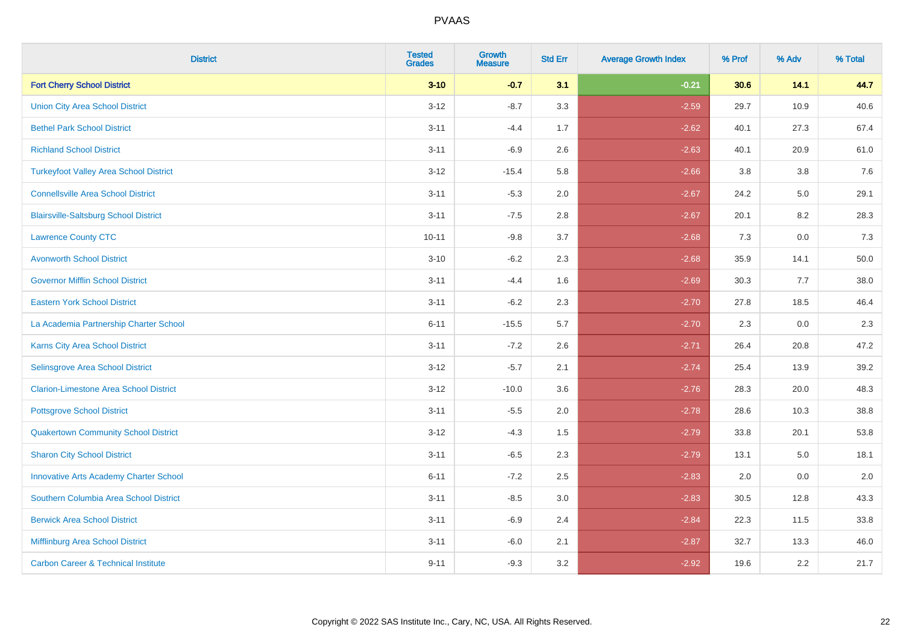| <b>District</b>                                | <b>Tested</b><br><b>Grades</b> | <b>Growth</b><br><b>Measure</b> | <b>Std Err</b> | <b>Average Growth Index</b> | % Prof | % Adv | % Total  |
|------------------------------------------------|--------------------------------|---------------------------------|----------------|-----------------------------|--------|-------|----------|
| <b>Fort Cherry School District</b>             | $3 - 10$                       | $-0.7$                          | 3.1            | $-0.21$                     | 30.6   | 14.1  | 44.7     |
| <b>Union City Area School District</b>         | $3 - 12$                       | $-8.7$                          | 3.3            | $-2.59$                     | 29.7   | 10.9  | 40.6     |
| <b>Bethel Park School District</b>             | $3 - 11$                       | $-4.4$                          | 1.7            | $-2.62$                     | 40.1   | 27.3  | 67.4     |
| <b>Richland School District</b>                | $3 - 11$                       | $-6.9$                          | 2.6            | $-2.63$                     | 40.1   | 20.9  | 61.0     |
| <b>Turkeyfoot Valley Area School District</b>  | $3 - 12$                       | $-15.4$                         | 5.8            | $-2.66$                     | 3.8    | 3.8   | 7.6      |
| <b>Connellsville Area School District</b>      | $3 - 11$                       | $-5.3$                          | 2.0            | $-2.67$                     | 24.2   | 5.0   | 29.1     |
| <b>Blairsville-Saltsburg School District</b>   | $3 - 11$                       | $-7.5$                          | 2.8            | $-2.67$                     | 20.1   | 8.2   | 28.3     |
| <b>Lawrence County CTC</b>                     | $10 - 11$                      | $-9.8$                          | 3.7            | $-2.68$                     | 7.3    | 0.0   | 7.3      |
| <b>Avonworth School District</b>               | $3 - 10$                       | $-6.2$                          | 2.3            | $-2.68$                     | 35.9   | 14.1  | $50.0\,$ |
| <b>Governor Mifflin School District</b>        | $3 - 11$                       | $-4.4$                          | 1.6            | $-2.69$                     | 30.3   | 7.7   | 38.0     |
| <b>Eastern York School District</b>            | $3 - 11$                       | $-6.2$                          | 2.3            | $-2.70$                     | 27.8   | 18.5  | 46.4     |
| La Academia Partnership Charter School         | $6 - 11$                       | $-15.5$                         | 5.7            | $-2.70$                     | 2.3    | 0.0   | 2.3      |
| Karns City Area School District                | $3 - 11$                       | $-7.2$                          | 2.6            | $-2.71$                     | 26.4   | 20.8  | 47.2     |
| <b>Selinsgrove Area School District</b>        | $3 - 12$                       | $-5.7$                          | 2.1            | $-2.74$                     | 25.4   | 13.9  | 39.2     |
| <b>Clarion-Limestone Area School District</b>  | $3 - 12$                       | $-10.0$                         | 3.6            | $-2.76$                     | 28.3   | 20.0  | 48.3     |
| <b>Pottsgrove School District</b>              | $3 - 11$                       | $-5.5$                          | 2.0            | $-2.78$                     | 28.6   | 10.3  | 38.8     |
| <b>Quakertown Community School District</b>    | $3 - 12$                       | $-4.3$                          | 1.5            | $-2.79$                     | 33.8   | 20.1  | 53.8     |
| <b>Sharon City School District</b>             | $3 - 11$                       | $-6.5$                          | 2.3            | $-2.79$                     | 13.1   | 5.0   | 18.1     |
| <b>Innovative Arts Academy Charter School</b>  | $6 - 11$                       | $-7.2$                          | 2.5            | $-2.83$                     | 2.0    | 0.0   | 2.0      |
| Southern Columbia Area School District         | $3 - 11$                       | $-8.5$                          | 3.0            | $-2.83$                     | 30.5   | 12.8  | 43.3     |
| <b>Berwick Area School District</b>            | $3 - 11$                       | $-6.9$                          | 2.4            | $-2.84$                     | 22.3   | 11.5  | 33.8     |
| Mifflinburg Area School District               | $3 - 11$                       | $-6.0$                          | 2.1            | $-2.87$                     | 32.7   | 13.3  | 46.0     |
| <b>Carbon Career &amp; Technical Institute</b> | $9 - 11$                       | $-9.3$                          | 3.2            | $-2.92$                     | 19.6   | 2.2   | 21.7     |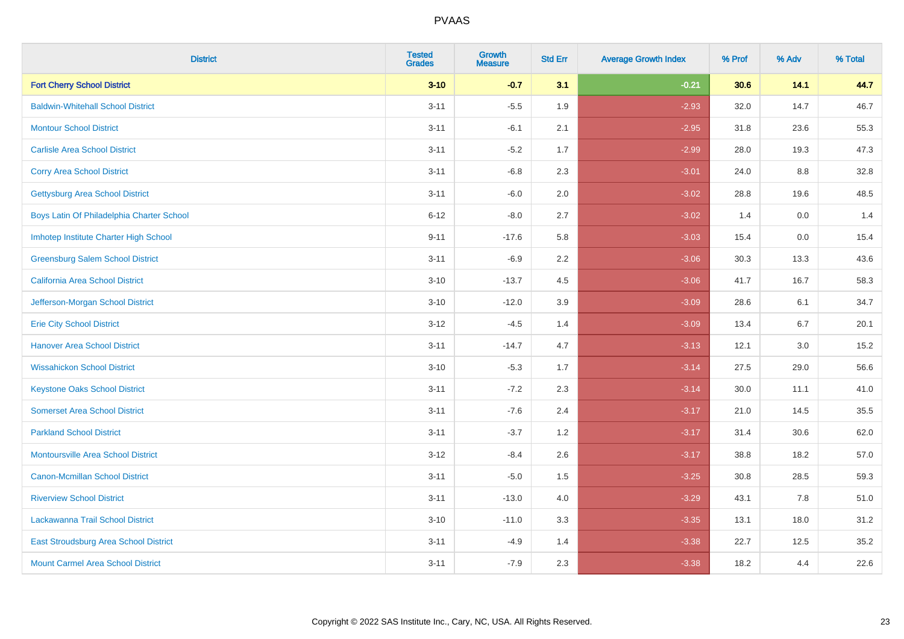| <b>District</b>                           | <b>Tested</b><br><b>Grades</b> | <b>Growth</b><br><b>Measure</b> | <b>Std Err</b> | <b>Average Growth Index</b> | % Prof | % Adv   | % Total |
|-------------------------------------------|--------------------------------|---------------------------------|----------------|-----------------------------|--------|---------|---------|
| <b>Fort Cherry School District</b>        | $3 - 10$                       | $-0.7$                          | 3.1            | $-0.21$                     | 30.6   | 14.1    | 44.7    |
| <b>Baldwin-Whitehall School District</b>  | $3 - 11$                       | $-5.5$                          | 1.9            | $-2.93$                     | 32.0   | 14.7    | 46.7    |
| <b>Montour School District</b>            | $3 - 11$                       | $-6.1$                          | 2.1            | $-2.95$                     | 31.8   | 23.6    | 55.3    |
| <b>Carlisle Area School District</b>      | $3 - 11$                       | $-5.2$                          | 1.7            | $-2.99$                     | 28.0   | 19.3    | 47.3    |
| <b>Corry Area School District</b>         | $3 - 11$                       | $-6.8$                          | 2.3            | $-3.01$                     | 24.0   | 8.8     | 32.8    |
| Gettysburg Area School District           | $3 - 11$                       | $-6.0$                          | 2.0            | $-3.02$                     | 28.8   | 19.6    | 48.5    |
| Boys Latin Of Philadelphia Charter School | $6 - 12$                       | $-8.0$                          | 2.7            | $-3.02$                     | 1.4    | 0.0     | 1.4     |
| Imhotep Institute Charter High School     | $9 - 11$                       | $-17.6$                         | 5.8            | $-3.03$                     | 15.4   | 0.0     | 15.4    |
| <b>Greensburg Salem School District</b>   | $3 - 11$                       | $-6.9$                          | 2.2            | $-3.06$                     | 30.3   | 13.3    | 43.6    |
| California Area School District           | $3 - 10$                       | $-13.7$                         | 4.5            | $-3.06$                     | 41.7   | 16.7    | 58.3    |
| Jefferson-Morgan School District          | $3 - 10$                       | $-12.0$                         | 3.9            | $-3.09$                     | 28.6   | 6.1     | 34.7    |
| <b>Erie City School District</b>          | $3 - 12$                       | $-4.5$                          | 1.4            | $-3.09$                     | 13.4   | 6.7     | 20.1    |
| <b>Hanover Area School District</b>       | $3 - 11$                       | $-14.7$                         | 4.7            | $-3.13$                     | 12.1   | $3.0\,$ | 15.2    |
| <b>Wissahickon School District</b>        | $3 - 10$                       | $-5.3$                          | 1.7            | $-3.14$                     | 27.5   | 29.0    | 56.6    |
| <b>Keystone Oaks School District</b>      | $3 - 11$                       | $-7.2$                          | 2.3            | $-3.14$                     | 30.0   | 11.1    | 41.0    |
| <b>Somerset Area School District</b>      | $3 - 11$                       | $-7.6$                          | 2.4            | $-3.17$                     | 21.0   | 14.5    | 35.5    |
| <b>Parkland School District</b>           | $3 - 11$                       | $-3.7$                          | 1.2            | $-3.17$                     | 31.4   | 30.6    | 62.0    |
| <b>Montoursville Area School District</b> | $3-12$                         | $-8.4$                          | 2.6            | $-3.17$                     | 38.8   | 18.2    | 57.0    |
| <b>Canon-Mcmillan School District</b>     | $3 - 11$                       | $-5.0$                          | 1.5            | $-3.25$                     | 30.8   | 28.5    | 59.3    |
| <b>Riverview School District</b>          | $3 - 11$                       | $-13.0$                         | 4.0            | $-3.29$                     | 43.1   | 7.8     | 51.0    |
| Lackawanna Trail School District          | $3 - 10$                       | $-11.0$                         | 3.3            | $-3.35$                     | 13.1   | 18.0    | 31.2    |
| East Stroudsburg Area School District     | $3 - 11$                       | $-4.9$                          | 1.4            | $-3.38$                     | 22.7   | 12.5    | 35.2    |
| <b>Mount Carmel Area School District</b>  | $3 - 11$                       | $-7.9$                          | 2.3            | $-3.38$                     | 18.2   | 4.4     | 22.6    |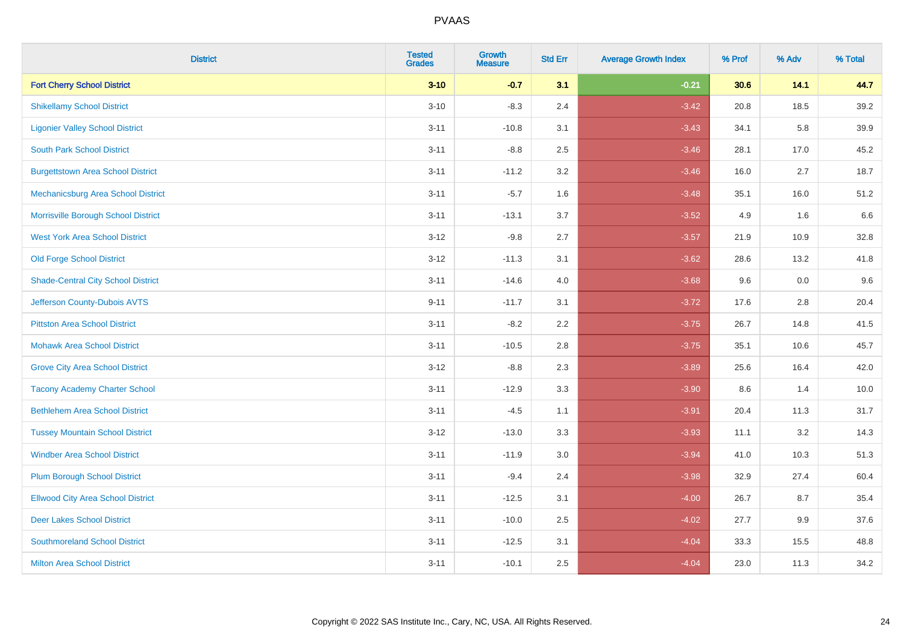| <b>District</b>                           | <b>Tested</b><br><b>Grades</b> | Growth<br><b>Measure</b> | <b>Std Err</b> | <b>Average Growth Index</b> | % Prof | % Adv | % Total |
|-------------------------------------------|--------------------------------|--------------------------|----------------|-----------------------------|--------|-------|---------|
| <b>Fort Cherry School District</b>        | $3 - 10$                       | $-0.7$                   | 3.1            | $-0.21$                     | 30.6   | 14.1  | 44.7    |
| <b>Shikellamy School District</b>         | $3 - 10$                       | $-8.3$                   | 2.4            | $-3.42$                     | 20.8   | 18.5  | 39.2    |
| <b>Ligonier Valley School District</b>    | $3 - 11$                       | $-10.8$                  | 3.1            | $-3.43$                     | 34.1   | 5.8   | 39.9    |
| <b>South Park School District</b>         | $3 - 11$                       | $-8.8$                   | 2.5            | $-3.46$                     | 28.1   | 17.0  | 45.2    |
| <b>Burgettstown Area School District</b>  | $3 - 11$                       | $-11.2$                  | 3.2            | $-3.46$                     | 16.0   | 2.7   | 18.7    |
| Mechanicsburg Area School District        | $3 - 11$                       | $-5.7$                   | 1.6            | $-3.48$                     | 35.1   | 16.0  | 51.2    |
| Morrisville Borough School District       | $3 - 11$                       | $-13.1$                  | 3.7            | $-3.52$                     | 4.9    | 1.6   | 6.6     |
| <b>West York Area School District</b>     | $3 - 12$                       | $-9.8$                   | 2.7            | $-3.57$                     | 21.9   | 10.9  | 32.8    |
| <b>Old Forge School District</b>          | $3 - 12$                       | $-11.3$                  | 3.1            | $-3.62$                     | 28.6   | 13.2  | 41.8    |
| <b>Shade-Central City School District</b> | $3 - 11$                       | $-14.6$                  | 4.0            | $-3.68$                     | 9.6    | 0.0   | 9.6     |
| Jefferson County-Dubois AVTS              | $9 - 11$                       | $-11.7$                  | 3.1            | $-3.72$                     | 17.6   | 2.8   | 20.4    |
| <b>Pittston Area School District</b>      | $3 - 11$                       | $-8.2$                   | 2.2            | $-3.75$                     | 26.7   | 14.8  | 41.5    |
| <b>Mohawk Area School District</b>        | $3 - 11$                       | $-10.5$                  | 2.8            | $-3.75$                     | 35.1   | 10.6  | 45.7    |
| <b>Grove City Area School District</b>    | $3 - 12$                       | $-8.8$                   | 2.3            | $-3.89$                     | 25.6   | 16.4  | 42.0    |
| <b>Tacony Academy Charter School</b>      | $3 - 11$                       | $-12.9$                  | 3.3            | $-3.90$                     | 8.6    | 1.4   | 10.0    |
| <b>Bethlehem Area School District</b>     | $3 - 11$                       | $-4.5$                   | 1.1            | $-3.91$                     | 20.4   | 11.3  | 31.7    |
| <b>Tussey Mountain School District</b>    | $3 - 12$                       | $-13.0$                  | 3.3            | $-3.93$                     | 11.1   | 3.2   | 14.3    |
| <b>Windber Area School District</b>       | $3 - 11$                       | $-11.9$                  | 3.0            | $-3.94$                     | 41.0   | 10.3  | 51.3    |
| <b>Plum Borough School District</b>       | $3 - 11$                       | $-9.4$                   | 2.4            | $-3.98$                     | 32.9   | 27.4  | 60.4    |
| <b>Ellwood City Area School District</b>  | $3 - 11$                       | $-12.5$                  | 3.1            | $-4.00$                     | 26.7   | 8.7   | 35.4    |
| <b>Deer Lakes School District</b>         | $3 - 11$                       | $-10.0$                  | 2.5            | $-4.02$                     | 27.7   | 9.9   | 37.6    |
| <b>Southmoreland School District</b>      | $3 - 11$                       | $-12.5$                  | 3.1            | $-4.04$                     | 33.3   | 15.5  | 48.8    |
| <b>Milton Area School District</b>        | $3 - 11$                       | $-10.1$                  | 2.5            | $-4.04$                     | 23.0   | 11.3  | 34.2    |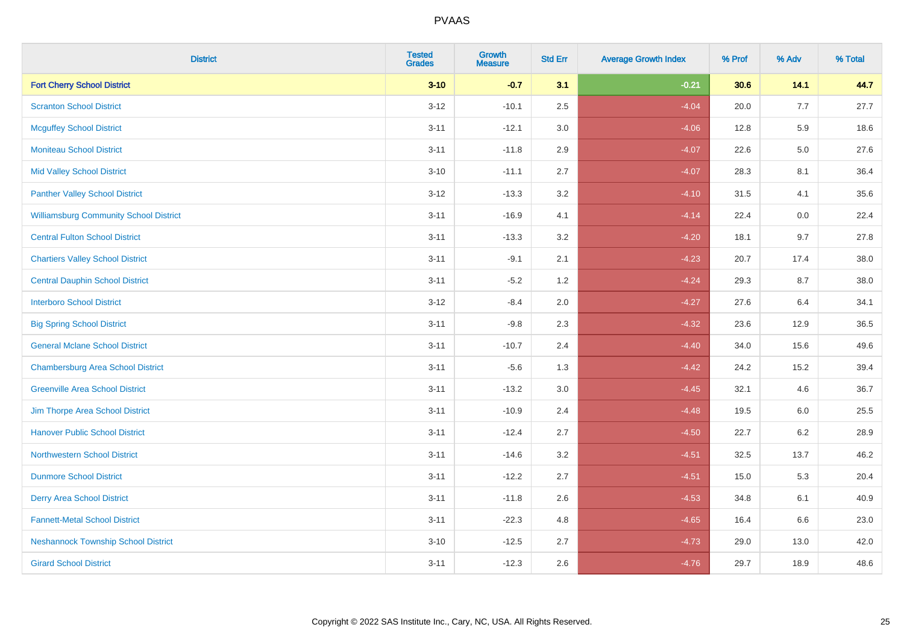| <b>District</b>                               | <b>Tested</b><br><b>Grades</b> | Growth<br><b>Measure</b> | <b>Std Err</b> | <b>Average Growth Index</b> | % Prof | % Adv   | % Total |
|-----------------------------------------------|--------------------------------|--------------------------|----------------|-----------------------------|--------|---------|---------|
| <b>Fort Cherry School District</b>            | $3 - 10$                       | $-0.7$                   | 3.1            | $-0.21$                     | 30.6   | 14.1    | 44.7    |
| <b>Scranton School District</b>               | $3 - 12$                       | $-10.1$                  | 2.5            | $-4.04$                     | 20.0   | 7.7     | 27.7    |
| <b>Mcguffey School District</b>               | $3 - 11$                       | $-12.1$                  | 3.0            | $-4.06$                     | 12.8   | 5.9     | 18.6    |
| <b>Moniteau School District</b>               | $3 - 11$                       | $-11.8$                  | 2.9            | $-4.07$                     | 22.6   | $5.0\,$ | 27.6    |
| <b>Mid Valley School District</b>             | $3 - 10$                       | $-11.1$                  | 2.7            | $-4.07$                     | 28.3   | 8.1     | 36.4    |
| <b>Panther Valley School District</b>         | $3 - 12$                       | $-13.3$                  | 3.2            | $-4.10$                     | 31.5   | 4.1     | 35.6    |
| <b>Williamsburg Community School District</b> | $3 - 11$                       | $-16.9$                  | 4.1            | $-4.14$                     | 22.4   | 0.0     | 22.4    |
| <b>Central Fulton School District</b>         | $3 - 11$                       | $-13.3$                  | 3.2            | $-4.20$                     | 18.1   | 9.7     | 27.8    |
| <b>Chartiers Valley School District</b>       | $3 - 11$                       | $-9.1$                   | 2.1            | $-4.23$                     | 20.7   | 17.4    | 38.0    |
| <b>Central Dauphin School District</b>        | $3 - 11$                       | $-5.2$                   | 1.2            | $-4.24$                     | 29.3   | 8.7     | 38.0    |
| <b>Interboro School District</b>              | $3 - 12$                       | $-8.4$                   | 2.0            | $-4.27$                     | 27.6   | 6.4     | 34.1    |
| <b>Big Spring School District</b>             | $3 - 11$                       | $-9.8$                   | 2.3            | $-4.32$                     | 23.6   | 12.9    | 36.5    |
| <b>General Mclane School District</b>         | $3 - 11$                       | $-10.7$                  | 2.4            | $-4.40$                     | 34.0   | 15.6    | 49.6    |
| <b>Chambersburg Area School District</b>      | $3 - 11$                       | $-5.6$                   | 1.3            | $-4.42$                     | 24.2   | 15.2    | 39.4    |
| <b>Greenville Area School District</b>        | $3 - 11$                       | $-13.2$                  | $3.0\,$        | $-4.45$                     | 32.1   | 4.6     | 36.7    |
| Jim Thorpe Area School District               | $3 - 11$                       | $-10.9$                  | 2.4            | $-4.48$                     | 19.5   | $6.0\,$ | 25.5    |
| <b>Hanover Public School District</b>         | $3 - 11$                       | $-12.4$                  | 2.7            | $-4.50$                     | 22.7   | 6.2     | 28.9    |
| <b>Northwestern School District</b>           | $3 - 11$                       | $-14.6$                  | 3.2            | $-4.51$                     | 32.5   | 13.7    | 46.2    |
| <b>Dunmore School District</b>                | $3 - 11$                       | $-12.2$                  | 2.7            | $-4.51$                     | 15.0   | 5.3     | 20.4    |
| <b>Derry Area School District</b>             | $3 - 11$                       | $-11.8$                  | 2.6            | $-4.53$                     | 34.8   | 6.1     | 40.9    |
| <b>Fannett-Metal School District</b>          | $3 - 11$                       | $-22.3$                  | 4.8            | $-4.65$                     | 16.4   | 6.6     | 23.0    |
| <b>Neshannock Township School District</b>    | $3 - 10$                       | $-12.5$                  | 2.7            | $-4.73$                     | 29.0   | 13.0    | 42.0    |
| <b>Girard School District</b>                 | $3 - 11$                       | $-12.3$                  | 2.6            | $-4.76$                     | 29.7   | 18.9    | 48.6    |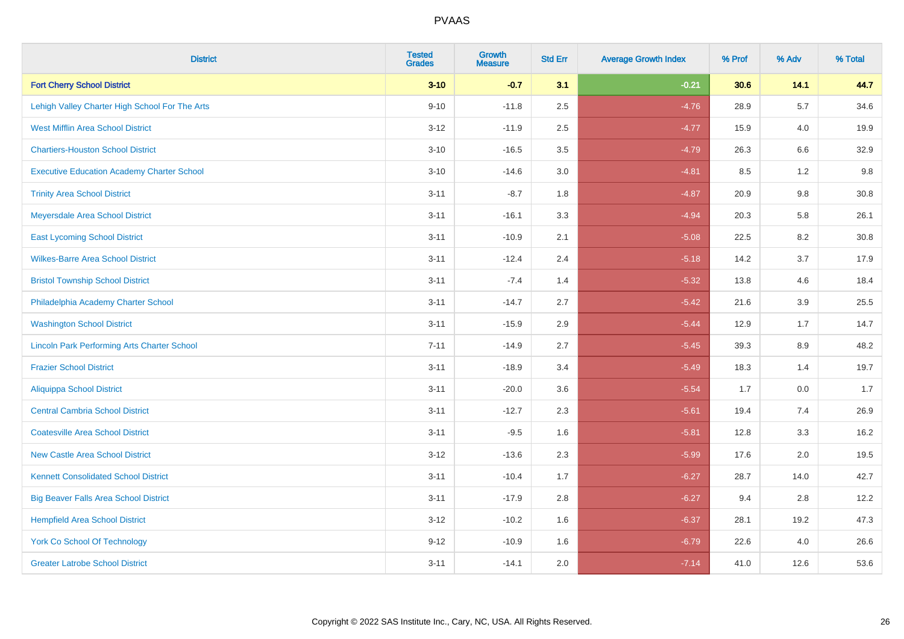| <b>District</b>                                    | <b>Tested</b><br><b>Grades</b> | <b>Growth</b><br><b>Measure</b> | <b>Std Err</b> | <b>Average Growth Index</b> | % Prof | % Adv   | % Total |
|----------------------------------------------------|--------------------------------|---------------------------------|----------------|-----------------------------|--------|---------|---------|
| <b>Fort Cherry School District</b>                 | $3 - 10$                       | $-0.7$                          | 3.1            | $-0.21$                     | 30.6   | 14.1    | 44.7    |
| Lehigh Valley Charter High School For The Arts     | $9 - 10$                       | $-11.8$                         | 2.5            | $-4.76$                     | 28.9   | 5.7     | 34.6    |
| <b>West Mifflin Area School District</b>           | $3 - 12$                       | $-11.9$                         | 2.5            | $-4.77$                     | 15.9   | 4.0     | 19.9    |
| <b>Chartiers-Houston School District</b>           | $3 - 10$                       | $-16.5$                         | 3.5            | $-4.79$                     | 26.3   | $6.6\,$ | 32.9    |
| <b>Executive Education Academy Charter School</b>  | $3 - 10$                       | $-14.6$                         | 3.0            | $-4.81$                     | 8.5    | 1.2     | 9.8     |
| <b>Trinity Area School District</b>                | $3 - 11$                       | $-8.7$                          | 1.8            | $-4.87$                     | 20.9   | 9.8     | 30.8    |
| Meyersdale Area School District                    | $3 - 11$                       | $-16.1$                         | 3.3            | $-4.94$                     | 20.3   | 5.8     | 26.1    |
| <b>East Lycoming School District</b>               | $3 - 11$                       | $-10.9$                         | 2.1            | $-5.08$                     | 22.5   | 8.2     | 30.8    |
| <b>Wilkes-Barre Area School District</b>           | $3 - 11$                       | $-12.4$                         | 2.4            | $-5.18$                     | 14.2   | 3.7     | 17.9    |
| <b>Bristol Township School District</b>            | $3 - 11$                       | $-7.4$                          | 1.4            | $-5.32$                     | 13.8   | 4.6     | 18.4    |
| Philadelphia Academy Charter School                | $3 - 11$                       | $-14.7$                         | 2.7            | $-5.42$                     | 21.6   | 3.9     | 25.5    |
| <b>Washington School District</b>                  | $3 - 11$                       | $-15.9$                         | 2.9            | $-5.44$                     | 12.9   | 1.7     | 14.7    |
| <b>Lincoln Park Performing Arts Charter School</b> | $7 - 11$                       | $-14.9$                         | 2.7            | $-5.45$                     | 39.3   | 8.9     | 48.2    |
| <b>Frazier School District</b>                     | $3 - 11$                       | $-18.9$                         | 3.4            | $-5.49$                     | 18.3   | 1.4     | 19.7    |
| <b>Aliquippa School District</b>                   | $3 - 11$                       | $-20.0$                         | 3.6            | $-5.54$                     | 1.7    | 0.0     | 1.7     |
| <b>Central Cambria School District</b>             | $3 - 11$                       | $-12.7$                         | 2.3            | $-5.61$                     | 19.4   | 7.4     | 26.9    |
| <b>Coatesville Area School District</b>            | $3 - 11$                       | $-9.5$                          | 1.6            | $-5.81$                     | 12.8   | 3.3     | 16.2    |
| <b>New Castle Area School District</b>             | $3 - 12$                       | $-13.6$                         | 2.3            | $-5.99$                     | 17.6   | 2.0     | 19.5    |
| <b>Kennett Consolidated School District</b>        | $3 - 11$                       | $-10.4$                         | 1.7            | $-6.27$                     | 28.7   | 14.0    | 42.7    |
| <b>Big Beaver Falls Area School District</b>       | $3 - 11$                       | $-17.9$                         | 2.8            | $-6.27$                     | 9.4    | 2.8     | 12.2    |
| <b>Hempfield Area School District</b>              | $3 - 12$                       | $-10.2$                         | 1.6            | $-6.37$                     | 28.1   | 19.2    | 47.3    |
| <b>York Co School Of Technology</b>                | $9 - 12$                       | $-10.9$                         | 1.6            | $-6.79$                     | 22.6   | 4.0     | 26.6    |
| <b>Greater Latrobe School District</b>             | $3 - 11$                       | $-14.1$                         | 2.0            | $-7.14$                     | 41.0   | 12.6    | 53.6    |